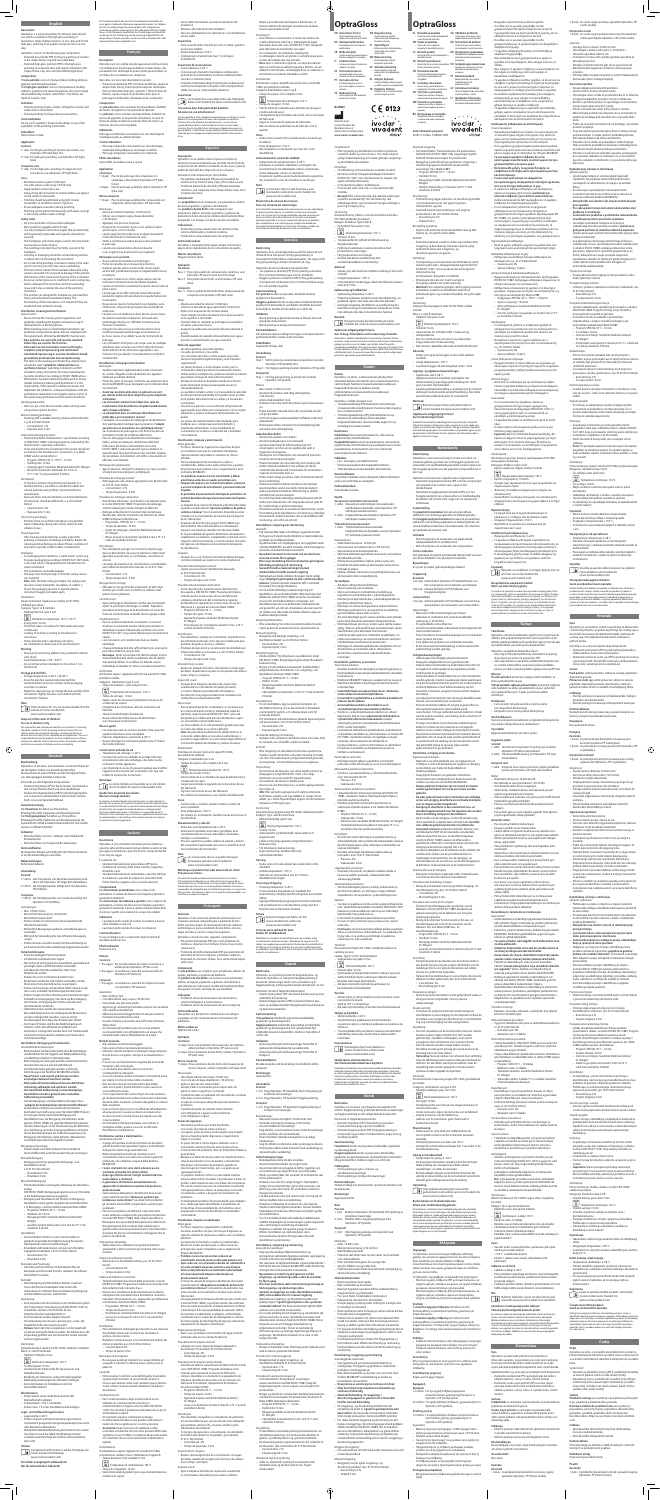**OptraGloss OptraGloss**

**rmation prepared** 2018-11-16/Rev. 0; 685621/WW

**EN Instructions for Use**

⊕

için universal polisaj sistemi – Universal polersystem för kompositer och keramiska material **Rx ONLY**  $C \in 0123$ 

ivoclar

vivadent:

clinical

– Universal polishing system for composite resin and ceramic materials **DE Gebrauchsinformation** – Univeralpoliersystem für Composites und Keramiken **FR Mode d'emploi** – Système de polissage universel pour les matériaux composites et céramiques **IT Istruzioni d'uso** – Sistema universale per la lucidatura di compositi e ceramiche **ES Instrucciones de uso** – Sistema de pulido universal para materiales cerámicos y de composite **PT Instruções de Uso** – Sistema de polimento universal para resinas compostas e materiais cerâmicos **SV Bruksanvisning DA Brugsanvisning** – Universal poleringssystem til tandrestaureringer af komposit og keramiske materialer **FI Käyttöohjeet** – Kiillotusjärjestelmä yhdistelmämuovimateriaaleille ja keraamisille materiaaleille **NO Bruksanvisning** – Universalpoleringssystem for kompositter og keramikk **NL Gebruiksaanwijzing** – Universeel polijstsysteem voor composiethars en tandheelkundig keramiek **EL Oδηγίες Xρήσεως** – Σύστημα στίλβωσης καθολικής χρήσης για σύνθετες ρητίνες και κεραμικά υλικά **TR Kullanma Talimatı** – Kompozit resin ve seramik materyaller

**SQ** Udhëzime përdo – Sistem universal lustrimi për rezinë kompozite dhe materiale qeramike **RO Instrucţiuni de utilizare** – Sistem de lustruire universal pentru rășini compozite și materiale ceramice **RU** Инструкция по приме – Универсальная полировочная система для композитных и керамических материалов **UK Інструкція щоло вико** – Універсальна полірувальна система для композитних і керамічних матеріалів **ET Kasutamisjuhend** – Komposiitvaikude ja keraamiliste materjalide universaaln poleerimissüsteem **LV Lietošanas instrukcija** – Universāla kompozītsveķu un keramikas materiālu pulēšanas sistēma **LT Naudojimo informacija** – Universali sistema sudėtinei dervai ir keraminėms medžiagoms poliruoti

**SL Navodila za uporabo** – Univerzalni sistem za poliranje kompozitnih smol in keramičnih materialov **HR Upute za uporabu** – Univerzalni sustav za poliranje kompozitnih i keramičkih materijala **CS Návod k použití** – Univerzální lešticí systém pro kompozitní a keramické náhrady **SK Návod na používanie** – Univerzálny leštiaci systém na kompozitové živicové a keramické materiály **HU Használati utasítás** – Univerzális polírozó rendszer kompozit gyantához és porcelánból készült anyagokhoz **PL Instrukcja stosowania** – Uniwersalny system do polerowania kompozytów i materiałów ceramicznych **SR Упутство за употребу** – Универзални систем за полирање композитних и керамичких материјала **MK Упатство за употреба** – Универзален систем за полирање за композитни материјали од смола и керамика **BG Инструкции за употреба** – Универсална система за полиране на композитни смоли и керамични материали

The **pre-polishers** consist of polyurethane, binding additives,<br>pigments and diamond granules.<br>The h**igh-gloss polishers** consist of polyurethane, binding<br>daditives, pigments and diamond granules; the spiral-shaped<br>wheel a made of stainless steel.

1<sup>st</sup> step: For the pre-polishing of ceramic restorations, use OptraGloss PP (dark blue) first. 2nd step: For high-gloss polishing, use OptraGloss HP (light blue).

#### **Co***mposite resin*<br>1ª step: For the high-gloss polishing of composite resin restorations, use OptraGloss HP (light blue).

on the surface to be treated.<br>Polishing should be performed using light circular – Polishing should be performed using light circular movements to avoid the creation of grooves. – Ensure adequate evacuation during polishing. – Polishing can be performed intraorally (with water cooling)

– Polishers tend to vibrate if the maximum admissible rotary speed is exceeded. This may lead to damage of the polisher, deformation of the shank and/or fracture of the instrument. – Excessive contact pressure or insufficient water cooling may lead to damage of the restoration and the surrounding tissue and it may accelerate the wear of the polishin

### **English**

### **Description** OptraGloss is a universal polisher for extraoral and intraoral use, which is suitable for the high-gloss polishing of restorations made of dental ceramics in two steps and for the high-gloss polishing of all popular composite resins in one

step. OptraGloss consists of the following two components: – Diamond pre-polisher (PP) for the pre-polishing of ceramics in the shapes Flame, Cup and Lens (dark blue) – Diamond high-gloss polisher (HP) for the high-gloss

protection and protective gloves that are compliant with<br>the requirements of Directive 89/686/EEC must be worn.<br>**– New polishers are not sterile and must be sterilized**<br>**before they are used for the first time. – After each use, the instruments must run through a complete cycle of reprocessing and sterilization. – Automated reprocessing in a washer-disinfector should** 

polishing of composite resin and ceramic materials in the shapes Flame, Cup, Lens and Spiral Wheel (light blue)

### **Composition**<br>The **pre-polishers** consist of polyurethane, binding additives

the reprocessing performance of the washer-disinfector *Cleaning preparation:*  – After use, pre-clean the instrument under running water

#### **Indication** – Clinical polishing of glass-ceramic, feldspathic-ceramic and

oxide-ceramic restorations – Clinical polishing of composite resin restorations **Contraindication**

#### Do not use if a patient is known to be allergic to any of the ingredients of the polishing instruments. **Side effects**

None known to date.

#### **Application** *Ceramics*

*Notes:* – Maximum rotation speed: 10,000 rpm – Use with copious water spray (>50 ml/min). – Apply medium contact pressure. – Always bring the instrument to rotation before you apply it

or extraorally (without water cooling). **Safety notes**

– Do not use polishers that have been damaged. – Wear protective goggles and face mask. – Use only handpieces and contra-angles that are technically and hygienically impeccable and regularly cleaned and serviced.

– The handpieces and contra-angles used for the instruments must ensure accurate rotation. – The polishing instrument must be firmly secured in the

handpiece. – Jamming or leveraging should be avoided during rotation to reduce the risk of breaking the instrument. – Do not leave the polishing instrument rotating in the same spot for too long since this may cause overheating.

instrument. – The polishers are designed for multiple use, provided that they are disinfected and sterilized properly. The

**Zusammensetzung**<br>Die **Vorpolierer** bestehen aus Polyurethan,<br>Bindungshilfsstoffe, Pigmenten und Diamantgranulat<br>Die H**ochglanzpolierer** bestehen aus Polyurethan,<br>Bindungshilfsstoffe, Pigmenten und Diamantgranulat, die Spiralradform enthält zusätzlich Baumwollfasern. Die Schäfte sind aus rostfreiem Edelstahl

– Klinische Politur von Glas-, Feldspat- und Oxidkeramik-Restaurationen – Klinische Politur von Composite-Restaurationen **Kontraindikation**<br>Bei bekannter Allergie auf Inhaltstoffe der Polierinstrumente<br>ist auf die Anwendung zu verzichten.

functionality of the instruments is not impaired if they are disinfected and sterilized correctly. **Disinfection, cleaning and sterilisation**

G*eneral notes:*<br>– Please observe the country-specific regulations and<br>guidelines regarding the hygiene and reprocessing of medical devices in dental practices. When handling used or contaminated instruments, eye<br>protection and protective gloves that are compliant with

*Anmerkungen:* − Max. 10'000 U./min − Mit reichlich Wasserspray (>50 ml/min)<br>− Mit mittlerer Annresskraft

## − Mit mittlerer Anpresskraft<br>− Polierer immer nur rotierend auf die zu bearbeitende<br>− Oberfläche aufsetzen

auch extraoral (ohne Wasserkühlung) angewendet **Sicherheitshinweise**

**generally be preferred over manual reprocessing.**  – The label on the cleaning and disinfecting solution must specifically state **"suitable for rubber polishers or synthetics/silicones"** (polishing instruments are NOT

included in rotary instruments for many manufacturers). – A washer-disinfector (according to EN ISO 15883) whose effectiveness has been verified should be used to ensure reliable mechanical cleaning and disinfection. It is the responsibility of the operator to define, document and implement the validation, continued compliance with the performance requirements and regular routine control of

using a brush (plastic bristles). *Manual cleaning procedure:*  – Cleaning with a suitable cleaning solution and disinfectant,

e. g. ID 215/Dürr Dental: – Concentration: 2 % – Exposure time: 5 min

*Automated cleaning procedure:* 

- Thermal disinfector: Manufacturer's specification according<br>to DIN RM ISO 15883. Cleaning program as indicated by the<br>manufacturer's operating instructions.<br>- Clean and disinfect the instrument in the washer-disinfector

**Hinweis**<br>Die Gebrauchsinformation ist auf der Homepage der (1980)<br>Ivoclar Vivadent AG hinterlegt (www.ivoclarvivadent.com).

Uas Produkt wurde tur den Einstat im Dentalberich entwickelt und<br>muss gemäss Gebrauchsinformation angewendet werden. Für Schäden,<br>die sich aus anderweitiger Verwendung oder nicht sachgemässer<br>Anwendung ergeben, übernimmt d rf Eignung und Verwendungsmöglichkei:<br>«e zu prüfen, zumal wenn diese Zwecke n Gebrauchsinformation aufgeführt sind.

**Composition**<br>Les pré-polissoirs sont constitués de polyuréthane, d'additifs Les **pré-polissoirs** sont constitués de polyuréthane, d'additifs<br>de liaison, de pigments et de granulés de diamant.<br>Les **polissoirs** sont constitués de polyuréthane, d'additifs de<br>liaison, de pigments et de granulés de dia forme de spirale contient en outre des fibres de coton. Les manches sont en acier inoxydable.

1<sup>ª</sup> étape : Pour le pré-polissage des restaurations en 1ª étape : Pour le pré-polissage des restaurations en<br>céramique, utiliser d'abord OptraGloss PP (bleu<br>foncé). 2e étape : Pour le polissage au brillant, utiliser OptraGloss HP (bleu clair). *Résine composite*<br>1ª étape : Pour le polissage au brillant des restaurations en composite, utiliser OptraGloss HP (bleu clair).

> *Remarques :*<br>− Vitesse de rotation maximale : 10 000 tr/min − Utiliser sous irrigation (spray d'eau) abondante (>50 ml/min).<br>Appliquer une pression movenne – Appliquer une pression moyenne. – Ne placer les instruments à polir sur la surface à traiter que lorsqu'ils sont en rotation. que Iorsqu'ils sont en rotation.<br>Le polissage doit être réalisé avec un léger mouvement rotatif afin d'éviter la formation de stries. – Veiller à la bonne évacuation des poussières pendant le polissage. , ...<br>pirs peuvent être utilisés en bouch

Er besteht aus den folgenden Komponenten: – Diamant-Vorpolierer (VP) für die Vorpolitur von Keramik in den Formen Flamme, Kelch und Linse (dunkelblau) – Diamant-Hochglanzpolierer (HP) für die Hochglanzpolitur von Composites und Keramiken in den Formen Flamme, Kelch, Linse und Spiralrad (hellblau)

### **Indikation**

◈

**Nebenwirkungen** Bisher keine bekannt.

#### **Anwendung**

*Keramik* 1. Schritt: Zum Vorpolieren von Keramikrestaurationen wird zuerst der OptraGloss VP eingesetzt (dunkelblau). 2. Schritt: Die Hochglanzpolitur erfolgt dann mit OptraGloss HP (hellblau).

```
Composite<br>1. Schritt: Die Hochglanzpolitur von Composites erfolgt mit<br>OptraGloss HP (hellblau).
```
− Mit leichten Bewegungen polieren, um Einkerbungen zu vermeiden − Während der Anwendung für eine effiziente Absaugung

### sorgen – Polierer können sowohl intraoral (mit Wasserkühlung) als

#### − Keine beschädigten Polierer benutzen − Schutzbrille und Mundschutz tragen − Nur technisch und hygienisch einwandfreie, gewartete und

gereinigte Hand- und Winkelstücke verwenden − Auf akkuraten Antriebsrundlauf des Hand- bzw. Winkelstücks achten

– Holding time: 10 min<br>– Cleaning agent: neodisher MediClean Dental/Dr. Weigert – Rinse the instruments afterwards for 3 min at 75 °C/167 °F using neodisher Z Dental. *Disinfection:* – To disinfect, immerse the polishing instruments in a disinfectant that is classified as suitable for rubber and silicone polishers and synthetics by the disinfectan manufacturer. Exposure times and co manufacturer should be adhered to, e. g. ID 212/Dürr Dental: – Concentration: 2% – Exposure time: 5 min *Final rinsing and drying:*  – Perform a final rinse of the instruments using distilled water, followed by drying with a fresh, clean, lint-free cellulose tissue. *Visual inspection:* - After cleaning and disinfecting, visually inspect the<br>polishing instruments for damage and debris. Repeat the<br>cleaning and disinfecting procedure if there is evidence of<br>any macroscopically visible residual contamination *Packaging:* – For packaging the instruments, a sterile barrier system (e.g. foil paper packaging) according to DIN EN ISO 11607 need to be used, which is designated by the manufacturer for steam sterilization. – The instruments are double bagged. – The bags must be big enough, so that the sealing seam is not stretched. – **Note:** After the heat sealing procedure, the sealing seam must be visually checked for any defects. If a defect is found, the packaging must be re-opened and the instrument bagged and sealed again. *Sterilization:* Steam sterilization: Appliance according to EN 13060, validated procedur Category: Type S or B sterilizers. Holding time: full cycle 5 mi  $\boxed{\frac{134 \text{ °C}}{322}}$  Sterilization temperature: 134 °C / 273 °F – Drying time: 10 min – Threshold values of contents for feed-water and steam condensates – Loading of sterilizer according to manufacturer's instructions – Follow manufacturer's operating instructions – No sterilization in chemiclave or hot air disinfector! **Warning** – Strong acids and strong alkalines may oxidize the stainless steel shank. – Avoid temperatures >150 °/302 °F. – Do not immerse the instruments for more than 1 h in disinfectant. **Storage and shelf life** – Storage temperature: 2–28 °C / 36–82 °F – Store the polishers packed and protected from recontamination in proven suitable sterile packaging, cassettes or retainers. – Repetitive reprocessing can change the look and feel of the instruments slightly, but does not interfere with the instruments' function. **Note**<br>
The Instructions for Use can be downloaded from the<br>
website of Ivoclar Vivadent AG (www.ivoclarvivadent.com) **Keep out of the reach of children! For use in dentistry only.** The material has been developed solely for use in dentistry. Processing<br>should be carried out strictly according to the instructions for Use.<br>Liability cannot be accepted for damages resulting from failure to<br>basere the in **Deutsch Deutsch Beschreibung** OptraGloss ist ein extra- und intraoraler- Universal-Polierer für die Hochglanz- Politur von dentalen keramischen Restaurationen in zwei Schritten und die Hochglanz-Politur von allen gängigen dentalen Composites. *Nettoyage de la préparation :* – Après utilisation, nettoyer l'instrument sous l'eau courante à l'aide d'une brossette (poils synthétiques). *Procédure de nettoyage manuel :* – Nettoyage avec une solution appropriée et un désinfectant. ex. ID 215 / Dürr Dental : – Concentration : 2 % – Temps d'exposition : 5 min *Procédure de nettoyage automatisé :* – Désinfecteur thermique : Spécifications du fabricant selon la norme DIN EN ISO 15883. Programme de nettoyage comme indiqué par le mode d'emploi du fabricant.<br>Nettover et désinfecter l'instrument dans le nettov – Nettoyer et désinfecter l'instrument dans le nettoyeur-désinfecteur selon les instructions du fabricant. ex. Miele G7883 nettoyeur et désinfecteur : – Programme : SPECIAL 93 °C – 10 min – Temps de maintien : 10 min – Agent de nettoyage : neodisher MediClean Dental/ Dr. Weigert – Rincer ensuite les instruments pendant 3 min à 75 °C à l'aide du neodisher Z Dental. *Désinfection :* – Pour désinfecter, plonger les instruments de polissage dans un désinfectant classé par le fabricant comme étant approprié aux polisseurs en synthétique, caoutchouc et silicone. – Les temps de réaction et les concentrations recommandés par le fabricant doivent être respectés, ex. ID 212 / Dürr Dental : – Concentration : 2 % – Temps d'exposition : 5 min *Rinçage final et séchage :*<br>– Effectuer un rinçage final des instruments à l'aide d'eau<br>distillée, puis sécher avec un chiffon en cellulose neuf, propre et non pelucheux. *Contrôle visuel :* – Après nettoyage et désinfection, vérifier que l'instrument à polir ne présente ni dommages ni saletés. Répétez la procédure de nettoyage et de désinfection s'il existe des traces de contamination résiduelle microscopique visible. *Conditionnement :* – Pour le conditionnement des instruments, il convient vapeur. – Les instruments sont conditionnés dans un double emballage.<br>Chaque emballage doit être suffisamment gros pour que le - Chaque emballage doit être suffisamment gros pour que le<br>joint d'étanchéité ne soit pas étré.<br>- Remarque : Après la procédure de thermoscellage, le joint<br>d'étanchéité doit être vérifié visuellement afin de repérer tout éventuel défaut. Si un défaut est détecté, rouvrir l'emballage et emballer et sceller à nouveau l'instrument. *Stérilisation :* Stérilisation vapeur : Appareil conforme à la norme EN 13060, procédure validée. Catégorie : Stérilisateurs type S ou B. – Temps de maintien : cycle complet 5 min <sup>134 °C</sup><br>
<sup>134</sup> <sup>C</sup> Température de stérilisation : 134 °C – Temps de séchage : 10 min – Valeurs seuils des taux pour l'alimentation en eau et les condensats de vapeur – Chargement du stérilisateur selon les instructions du fabricant – Suivre le mode d'emploi du fabricant – Ne pas utiliser de chemiclave ou de désinfecteur à air chaud pour la stérilisation ! **Mise en garde** – Les acides puissants et les bases alcalines fortes peuvent oxyder le manche en acier inoxydable. – Éviter les températures supérieures à 150 °C – Ne pas immerger les instruments pendant plus d'1 heure dans le désinfectant. **Conservation et durée de vie** – Température de stockage : 2–28 °C. – Conserver les polissoirs emballés et protégés de toute contamination dans des emballages, des boîtes ou des contenants stériles appropriés. – Les retraitements successifs peuvent quelque peu modifier l'apparence et le toucher des instruments sans que cela n'altère la fonction des instruments.

È composto da: – Strumenti diamantati per prelucidatura (PP) per la lucidatura di ceramica, nelle forme: fiamma, coppetta e – Strumenti diamantati per la lucidatura a specchio (HP) per la lucidatura a specchio di compositi e ceramiche nelle forme: fiamma, coppetta e disco a spirale (azzurro) (www.ivoclarvivadent.com) **Mantenga el producto fuera del alcance de los niños! Sólo para uso clínico.** El material ha sido desarrollado exclusivamente para uso clínico.<br>El funcionamiento debe llevarse a cabo estrictamente siguiendo las<br>instrucciones de uso. El fabricante no se hace responsable de los daños<br>ocasionados por o

#### sigillato. *Sterilizzazione:* Sterilizzazione a vapore: Apparecchi secondo EN 13060, procedimento validato. Classe: Sterilizzatore S oppure B. – Tempo di tenuta: Ciclo completo 5 min

Conservazione a 2–28 °C<br>Conservare gli strumenti di lucidatura confezionati e – Conservare gli strumenti di lucidatura confezionati e protetti da ricontaminazione in idonei confezionamenti, cassette o contenitori sterili. – Il ripetuto trattamento degli strumenti per lucidatura può variarne minimamente sia l'aspetto che la manipolazione tattile, ma non ne compromette la funzione.

Questo prodotto e stato sviluppato unicamente per un utilizzo in campo<br>dentale. Il suo impiego deve avvenire solo seguendo le specifiche<br>istruzioni d'uso del prodotto. Il produttore non si assume alcuna<br>responsabilità per istruzioni d'uso o da utilizzi diversi dal campo d'applicazione previsto per il prodotto. L'utilizzatore è responsabile per la sperimentazione del materiale per un impiego non esplicitamente indicato nelle istruzioni

– Lagerung bei 2–28 °C – Polierer verpackt und rekontaminationsgeschützt in nachweislich geeigneten Sterilgutverpackungen, Kassetten oder Retainern aufbewahren – Wiederholte Wiederaufbereitung der Polierer kann sowohl Aussehen als auch die taktile Handhabung minimal verändern, beeinträchtigt die Funktion der Instrumente aber nicht

**Für Kinder unzugänglich aufbewahren! Nur für zahnärztlichen Gebrauch!**

**Efectos secundario** Ninguno hasta la fecha.

**Aplicación**<br>*Cerámicas*<br>Paso 1: Para el pre-pulido de restauraciones cerámicas, usar OptraGloss PP (azul oscuro) en primer lugar. Paso 2: Para pulido de alto brillo, usar OptraGloss HP (azul

#### **Français**

ponssage.<br>Les instruments à finir/polir sont conçus pour de multiples pulido. – El pulido puede ser realizado intraoralmente (con agua a presión) o extraoralmante (sin agua a presión) **Notas de seguridad**

**Description** OptraGloss est un système de polissage universel intra et extra oral indiqué pour le polissage au brillant, en deux temps, des restaurations en céramique et pour le polissage au brillant, en un temps, des restaurations en composite. OptraGloss est consistué des éléments suivants :<br>- Pré-polissoir diamanté (PP) en formes de flamme, cupule et - Pre-polissoir diamante (PP) en formes de flamme, cupule et<br>disque (bleu foncé), pour le pré-polissage des céramiques<br>- Polissoir diamanté (high-gloss polisher = HP) en formes de<br>flamme, cupule, disque et spirale (bleu cl polissage au brillant des céramiques et des composites

- L'étiquette sur la solution de nettoyage et de désinfection<br>doit spécifiquement indiquer que le produit est **"adapté**<br>aux polissoirs en caoutchouc ou synthétique/silicone"<br>(les instruments de polissage ne sont PAS inclus – Las puntas de acabado/pulido están diseñadas para múltiples usos, siempre que sean desinfectados y esterilizados eficazmente. La funcionalidad de los instrumentos no se altera si se desinfectan y esterilizan correctamente.

> y la normativa acerca de los estándares de limpieza, reprocesamiento de productos sanitarios en clínicas dentales.<br>Para la manipulación de instrumentos usados o

**Indications** Polissage au brillant des restaurations en vitrocéramique et céramique oxyde, au cabinet dentaire. **Contre-indications** – Polissage clinique des restaurations en vitrocéramique, céramique feldspathique, et céramique cristalline

– Polissage clinique des restaurations en composite **Effets secondaires** Aucun effet secondaire connu à ce jour.

## **Application**

(sous irrigation) ou en extraoral (sans irrigation). **Remarques sur la sécurité** – Ne pas utiliser d'instruments endommagés. − Porter des lunettes et un masque de protection. – N'utiliser que des pièces à main et des contre-angles en bon état, parfaitement propres et régulièrement révisés

et nettoyés. – Les pièces à main et les contre-angles utilisés avec les instruments doivent tourner de manière régulière. Le polissoir doit être correctement inséré et sécurisé dans la<br>pièce à main pièce à main. – Les blocages et les effets de levier doivent être évités

pendant la rotation afin de réduire le risque de fracture de l'instrument. – Ne pas laisser tourner l'instrument trop longtemps sur la

même zone, cela pourrait provoquer une surchauffe de cette zone. − Les polissoirs ont tendance à vibrer dès lors que la vitesse de rotation maximale est dépassée. Cela peut alors endommager le polissoir, déformer le manche et/ou

fracturer l'instrument.

polissage.

### responsable de comprobar que el material está apto para su uso para los fines previstos. Ilustraciones y datos no son garantía de propiedades y no constituyen compromiso alguno. **Português Português**

correctement.

### **Désinfection, nettoyage et stérilisation**

*Remarques :* – Veuillez respecter la réglementation locale concernant les normes d'hygiène et de retraitement des appareils médicaux au cabinet dentaire. – Porter des gants et masques conformes aux exigences de la directive 89/686/EEC pour manipuler tout instrument utilisé et contaminé. **– Avant leur première utilisation, les polissoirs ne sont** 

**pas stériles et doivent faire l'objet d'un cycle complet de stérilisation. – Les instruments doivent faire l'objet d'un cycle de** 

> Os **pré-polidores** são compostos por poliuretano, aditivos de<br>ligação, pigmentos e grânulos de diamante.<br>Os **polidores de alto brilho** são compostos por poliuretano, aditivos de ligação, pigmentos e grânulos de diamante; a apresentação em roda espiral contém adicionalmente, fibras de algodão. As hastes são feitas de aço inoxidável.

− Polierer muss fest im Handstück arretiert sein − Bei Rotation Verkanten oder Hebeln vermeiden, um das Risiko eines Instrumentenbruches zu verringern − Polierer nicht zu lange auf derselben Stelle rotieren lassen, da es sonst zu lokalen Überhitzungen kommen kann Polierer neigen bei Uberschreitung der ma Drehzahl zu Schwingungen. Dies kann zur Beschädigung des Polierers, Verbiegung des Schafts und/oder zum Instrumentenbruch führen − Überhöhte Anpresskräfte oder unzureichende Wasserkühlung können zur Schädigung der Restauration und des umliegenden Gewebes, sowie zu einem beschleunigten Verschleiss des Polierkörpers führen Die Finierer/Polierer sind für den Mehrfachgebrauch<br>indiziert, sofern eine effiziente Desinfektion und indiziert, sofern eine effiziente Desinfektion und<br>Sterilisation sichergestellt werden kann. Die Funktionalität<br>wird durch eine korrekte Desinfektion und Sterilisation nicht beeinträchtigt **Desinfektion, Reinigung und Sterilisation** *Grundsätzliche Anmerkungen:* – Bitte beachten Sie die länderspezifischen Bestimmungen und Richtlinien für die Hygiene und Wiederaufbereitung von Medizinprodukten in Zahnarztpraxen – Beim Umgang mit allen gebrauchten und kontaminierten Instrumenten müssen eine Schutzbrille und Schutzhandschuhe getragen werden, welche die Anforderungen der Richtlinie 89/686/EWG erfüllen<br>– Neue Polierer sind unsteril und müssen vor dem<br>– erstmaligen Gebrauch sterilisiert werden<br>– Nach jedem klinischen Gebrauch müssen die Polierer **vollständig aufbereitet und sterilisiert werden – Die maschinelle Aufbereitung in einem Reinigungs-**Desinfektions-Gerät ist generell einer manuelle **Aufbereitung vorzuziehen**  – Auf den Reinigungs- und Desinfektionslösungen muss "**geeignet für Gummipolierer oder Kunststoffe/Silikone"**  ausdrücklich erwähnt sein (rotierende Instrumente beinhalten nach Auffassung vieler Hersteller KEINE Polierer) – Für eine gesicherte maschinelle Reinigung und Desinfektion muss ein Reinigungs-Desinfektions-Gerät (gemäss EN ISO 15883) mit geprüfter Wirksamkeit genutzt werden. Dabei liegt es in der Verantwortung des Betreibers, dass Validierung, erneute Leistungsqualifikation und perio-<br>dische Routineprüfungen der Aufbereitungsprozesse im Reinigungs-Desinfektions-Gerät definiert, dokumentiert ntsprechend durchgeführt werde *Reinigungsvorbereitung:* – Polierer direkt nach dem Gebrauch mit einer Bürste (Kunststoffborsten) unter fliessendem Wasser vorreinigen *Manuelle Reinigung:*  – Reinigung mit einem geeigneten Reinigungs- und Desinfektionsmittel z. B. ID 215/Dürr Dental: – Konzentration 2% – Einwirkzeit 5 min *Maschinelle Reinigung:* – Thermodesinfektor: Leistungsbeschreibung des Herstellers analog DIN EN ISO 15883. Reinigungsprogramm wie vom Hersteller in der Bedienungsanleitung angegeben – Reinigung und Desinfektion der Polierer im Reinigungs-Desinfektions-Gerät gemäss Angaben des Geräteherstellers z. B. Reinigungs- und Desinfektionsautomat Miele G7883: – Programm: SPECIAL 93 °C – 10 min – Haltezeit von 10 min – Reinigungsmittel: neodisher MediClean Dental/Dr. Weigert – anschliessendem Nachspülen von 3 min bei 75 °C mit neodisher Z Dental *Desinfektion:* – Zur Desinfektion Polierer in eine vom Hersteller als geeignet eingestufte Desinfektionslösung für Gummi-, Silikonpolierer und Kunststoffe einlegen – Einwirkzeit und Konzentration sind wie vom Hersteller angegeben einzuhalten z. B. ID 212/Dürr Dental: – Konzentration 2% – Einwirkzeit 5 min *Klarspülen und Trocknung:* − Abschliessend die Polierer mit destilliertem Wasser klarspülen und mit einem frischen, sauberen, fusselfreien Zellstofftuch trocknen *Kontrolle:* – Nach Reinigung und Desinfektion Polierer visuell auf Unversehrtheit und Sauberkeit untersuchen. Bei makroskopisch sichtbarer Restverschmutzung Reinigungsund Desinfektionsprozess wiederholen *Verpackung:* – Zum Verpacken der Instrumente ist ein Sterilbarrieresystem (z.B. Folien-Papier-Verpackung) nach DIN EN ISO 11607 zu verwenden, welches vom Hersteller für die Dampfsterilisation zweckbestimmt ist – Die Instrumente werden doppelt verpackt – Die Verpackung müssen gross genung sein, so dass die Siegelnaht nicht unter Spannung steht – **Hinweis:** Nach dem Heisssiegelprozess ist die Siegelnaht visuell auf eventuelle Fehler zu prüfen. Bei Fehlern muss die Verpackung geöffnet und das Instrument erneut verpackt und versiegelt werden *Sterilisation:*<br>Dampfsterilisation: Gerät nach EN 13060, validiertes Verfahren.<br>Klasse: S- oder B-Sterilisator.<br>– Haltezeit: Vollzyklus 5 min  $\left[\frac{134\degree C}{324}\right]$  Sterilisationstemperatur: 134 °C<br>Trocknungszeit: 10 min – Trocknungszeit: 10 min – Grenzwerte der Inhaltsstoffe für Speisewasser und Dampfkondensate ے اللہ تصدیر ہے اور اس اللہ علیہ اللہ عليہ اللہ عليہ Dampfkondensate<br>Beladung des Sterilisators analog Herstellerangaben – Bedienungsanweisungen des Herstellers befolgen – Keine Sterilisation im Chemiklaven oder mit Heissluftdesinfektor! **Warnhinweise**<br>– Starke Säuren sowie starke Basen können den<br>– Edelstahlschaft oxidieren – Temperaturen >150 °C vermeiden – Polierer max. 1 h in das Desinfektionsbad einlegen **Lager- und Aufbewahrungshinweise** *Avvertenze:* − Max. 10.000 g./min. **Note di sicurezza** pulizia. corpo lucidante. pulizia e disinfezione. *Preparazione alla pulizia:* corrente. Dental: – Concentrazione 2% Z Dental *Disinfezione:* – Concentrazione 2% pelucchi. *Controllo:* disinfezione. *Confezionamento:*

des procédures de traitement sont définis, documentés et

effectués correctement.

–<br>nto clínico de restaurações de vitrocerâmica cerâmica feldspática e óxidocerâmica. – Polimento clínico de restaurações de resina composta. **Contraindicações** Não utilizar se o paciente for conhecido por ser alérgico a qualquer um dos componentes dos instrui **Efeitos colaterai** Nenhum até a data *Cerâmicas* 1ª etapa: Para o pré-polimento de restaurações de cerâmica, utilizar primeiro o OptraGloss PP (azul escuro). 2ª etapa: Para o polimento de alto brilho, utilizar o OptraGloss HP (azul claro). *Resina composta* 1ª etapa: Para o polimento de alto brilho de restaurações de resina composta, utilizar o OptraGloss HP (azul claro). *Observações:* – Velocidade máxima de rotação: 10.000 rpm – Usar com jato de água abundante (> 50 ml/min). – Aplicar a pressão de contato média. – Sempre trazer o instrumento para rotação antes de aplicá-lo sobre a superfície a ser tratada. O polimento deve ser realizado com mov leves para se evitar ranhuras. – Assegurar a evacuação adequada da poeira durante o – O polimento pode ser realizado intraoralmente (com refrigeração à água) ou extraoralmente (sem refrigeração à água). **Avisos de segurança** – Não utilizar polidores que foram danificados. corretamente. Diretiva 89/686/EEC. fabricantes). – Concentração: 2% desinfecção Miele G7883: neodisher Z dental.

*Esterilização:* Esterilização a vapor: Aparelho de acordo com a norma EN 13060, procedimento validado. Categoria: Esterilizadores tipo S ou B.<br>- Tempo de espera: ciclo completo 5

**Nota**<br>As Instruções de Uso estão disponíveis para<br>download no website da Ivoclar Vivadent AG (www.ivoclarvivadent.com)

**Remarque**

**Descrizion** 

**Réservé à l'usage dentaire.**

des garanties ni des engagements.

**Italiano**

in un solo passaggio.

lente (blu scuro)

**Composizione**

Gli **strumenti per prelucidatura** sono composti da poliuretano, sostanze che favoriscono il legame, pigmenti e

granulato di diamante

Gli **strumenti per la lucidatura a specchio** sono composti da poliuretano, sostanze che favoriscono il legame, pigmenti e granulato di diamante, il disco a spirale contiene inoltre fibre di cotone. I gambi sono realizzati in acciaio inossidabile

**Indicazioni**

– Lucidatura professionale di restauri in ceramica a base di

vetro, feldspato e di ossidi

– Efter varje användning mäste instrumenten genomgå en<br>- fullständig rengöring och sterilisering.<br>– Generellt föredras maskinell rengöring med<br>- diskdesinfektor framför manuell rengöring – Märkningen på diskdesinfektor-lösningen måste tydligt ange **"lämplig för gummipolerare eller syntetiska/silikonpolerare"** (polerinstrument inkluderas INTE i roterande<br>instrument hos många tillverkare).<br>För att erhålla tillförlitlig maskinell rengöring och<br>desinfektion, ska en diskdesinfektor (WD) med utprovad<br>effektivitet (enligt ansvarar för att diskdesinfektorns rengörings- och desinfektionsprocesser är definierade, dokumenterade och genomförs på rätt sätt. Användaren ansvarar även för att validera och säkerställa att diskdesinfektorn uppvisar kvalitetssäkrad prestanda.

– Lucidatura professionale di restauri in composito

**Controindicazioni**

In caso di allergia nota a componenti degli strumenti di

lucidatura evitarne l'uso. **Effetti collaterali** Finora non noti. **Utilizzo** *Ceramica*

1. Passaggio: Per la prelucidatura di restauri in ceramica, si utilizza prima OptraGloss PP (blu scuro). 2. Passaggio: La lucidatura a specchio avviene quindi con

# *Desinfektering:*<br>– För att desinfektera, lägg ner polerinstrumenten i en<br>desinfektionslösning som är klassificerad av tillverkaren<br>som lämplig för gummi- och silikonpolerare samt för syntetiska material.<br>Föli tillverkarens rekommendation gällande exponeringstid – Följ tillverkarens rekommendation gällande exponeringstid och koncentration, t.ex. för ID 212/Dürr Dental: – Koncentration: 2% – Exponeringstid: 5 min

Ångsterilisering: Apparat enligt EN 13060, validerad procedur Kategori: Typ S- eller B-steriliserare. – Hålltid: fullständig cykel 5 min

Harristan (1992)<br>
Steriliseringstemperatur: 134 °C – Torktid: 10 min – Gränsvärde för partikelinnehåll i matarvatten och i

− Une pression excessive ou un refroidissement à l'eau insuffisants peuvent endommager la restauration et les tissus voisins, et accélérer l'usure de l'instrument de – El pulido debe ser realizado usando ligeros movimientos circulares para evitar fisuras. – Asegurar una adecuada evacuación del polvo durante el

> Upprepad fullständig rengöring kan förändra utseendet och ytstrukturen hos instrumentet en aning, men det förändrar inte instrumentets funktion.

**Notera**<br>| **II** Bruksanvisningen kan laddas ner från<br>| Ivoclar Vivadent AGs webb-sida

(www.ivoclanvivadent.com) **Förvaras utom räckhåll för barn! Endast för tandläkarbruk!**

utilisations dans la mesure où ils font l'objet de mesures de désinfection et de stérilisation appropriées. Leur fonction n'est pas altérée s'il sont désinfectés et stérilisés – No utilice pulidores que estén dañados. – Use gafas protectoras y mascarilla. – Use sólo piezas de mano y contra-ángulos que estén técnica e impecables higiénicamente y sean limpiados

### Produkten har utvecklats för dentalt bruk och ska anv instruktionerna i bruksanvisningen. Tillverkaren tar inget ansvar för<br>skador som uppkommer genom oaktsam hantering eller underlåtenhet<br>att följa givna instruktioner. Brukaren är ensam ansvarig för kontrollen<br>av produktens angivet i instruktionerna.

## **Dansk Dansk**

**Beskrivelse**<br>OptraGloss er et polerin OptraGloss er et poleringssystem til brug både extra- og intraoralt. OptraGloss er velegnet til højglanspolering af keramiske restaureringer med to-trins procedure og til højglanspolering af alle populære kompositmaterialer i et trin.

OptraGloss består af følgende komponenter: – Diamant præ-polerer (PP) i faconerne flamme, kop og skive<br>(mørkeblå) til forpolering.<br>– Diamant højglanspolerer (HP) i faconerne flamme, kop,<br>– skive og spiralhjul (lyseblå) til højglanspolering af komposit og keramiske materialer **Sammensætning Præ-polererne** indeholder polyuretan, bindemiddel, pigmenter og diamantgranulat.<br>**Højglanspolererne** indeholder polyurethan, bindemiddel,<br>pigmenter og diamantgranulat. Det spiralformede hjul<br>indeholder desuden bomuldsfibre. Skaftet er fremstillet af rustfrit stål. **Indikation** – Intraoral polering af tandrestaureringer fremstillet af glaskeramik, feldspatkeramik og oxidkeramik – Intraoral polering af tandrestaureringer fremstillet af komposit **Kontraindikation** Må ikke anvendes ved kendt allergi mod indholdsstoffer i polererne. **Bivirkninger** Ingen kendte. **Anvendelse** *Keramik* 1. trin: Brug OptraGloss PP (mørkeblå) først til forpolering af keramiske restaureringer. 2. trin: Brug OptraGloss HP (lyseblå) til højglanspolering. *Komposit* 1. trin: Brug OptraGloss HP (lyseblå) til højglanspolering af komposit restaureringer. *Bemærkninger:* – Maksimal rotationshastighed: 10.000 omdr./min. – Anvendes med rigelig vandspray (>50 ml/min). – Anvend middelstort kontakttryk. – Sørg altid for, at instrumentet roterer, inden det anbringes på den overflade, der skal bearbeides – Poler med lette roterende bevægelser for at undgå furedannelse. – Sørg for effektiv støvfjernelse under poleringsproceduren. – Polering kan udføres både intraoralt (med vandkøling) og extraoralt (uden vandkøling). **Sikkerhedsoplysninger**<br>– Beskadigede polerere må ikke anvendes.<br>– Anvend beskyttelsesbriller og ansigtsmaske.<br>– Anvend kun teknisk og hygiejnisk fejlfrie, regelmæssigt serviceeftersete og rengjorte hånd- og vinkelstykker. – Hånd- og vinkelstykker, der anvendes til instrumentet skal rotere gnidningsløst. – Polereren skal være forsvarligt fastgjort i håndstykket. – Undgå, at instrumentet kiler sig fast eller anvendes som løftestang, mens det roterer, for at mindske risikoen for – Lad ikke polereren rotere på samme sted i for lang tid, da det kan medføre lokal overophedning. – Polererne er tilbøjelige til at vibrere, hvis den højeste tilladte rotationshastighed overskrides. Det kan medføre beskadigelse af polereren, deformation af skaftet og/eller – For stort kontakttryk eller utilstrækkelig vandkøling kan medføre beskadigelse af restaureringen og det omgivende væv samt hurtigere nedslidning af polereren. – Polererne er udviklet til brug flere gange, forudsat at effektiv desinfektion og sterilisering kan sikres. Instrumenternes funktion forringes ikke af korrekt **Desinfektion, rengøring og sterilisering**<br>*Generelle bemærkninger:*<br>– Følg også de landespecifikke bestemmelser og<br>pretningslinjer vedrørende hygiejnestandarder og klargøring af medicinsk udstyr på tandlægeklinikker. – Der skal bæres beskyttelseshandsker og beskyttelsesbriller i henhold til kravene i direktiv 89/686/EØF under håndtering af brugte eller kontaminerede instrumenter. **– Nye polerere er usterile og skal igennem en fuld rengørings- og steriliseringscyklus, inden de anvendes for første gang. – Efter hver anvendelse skal instrumenterne gennemgå en fuld rengørings- og steriliseringscyklus. – Generelt er rengøring i en vaske-/desinfektionsmaskine (WD) at foretrække frem for manuel rengøring.**  – Mærkatet på rengørings- og desinfektionsmidlet skal tydeligt angive **"egnet til gummipolerer eller syntetiske materialer/silikone"** (De fleste producenter opfatter IKKE polerere som roterende instrumenter). – For at sikre pålidelig maskinrengøring og -desinfektion må der kun anvendes en vaske-/desinfektionsmaskine med dokumenteret virkning (i henhold til EN ISO 15883). Det er brugerens ansvar at fastlægge, dokumentere og implementere kontrollen, fortsat at overholde de driftsmæssige krav og foretage regelmæssige eftersyn af rengørings- desinfektionsmaskinen for at sikre, at den – Rengør instrumentet straks efter brug under rindende vand med en børste (syntetiske børstehår). – Rengøring med et egnet rengørings- og desinfektionsmiddel fx ID 215/Dürr Dental: – Koncentration: 2 % – Eksponeringstid: 5 min. *Procedure for automatisk rengøring:*  – Termodesinfektor: Producentens anvisninger i overensstemmelse med DIN EN ISO 15883. Vælg det rengøringsprogram, som er angivet i anvisningerne fra producenten. – Rengør og desinficer instrumentet i dentalopvaskemaskine i henhold til anvisningerne fra producenten af udstyret fx Miele G7883; dentalopvaskemaskine: – Program: SPECIAL 93 ° C – 10 min. – Opholdstid: 10 min. – Rengøringsmiddel: neodisher MediClean Dental/ Dr. Weigert – Skyl derefter instrumenterne 3 min. ved 75° C med neodisher Z Dental. – Til desinfektion nedsænkes poleringsinstrumenterne i en desinfektionsopløsning som producenten anbefaler til gummi- og silikonepolerere og syntetiske materialer. – De eksponeringstider og koncentrationer, der anbefales af producenten, skal overholdes fx ID 212/Dürr Dental: – Koncentration: 2 % – Udfør en afsluttende skylning af instrumenter med destilleret vand, og tør dem med en ren, fnugfri **Varoitus** – Vahvat hapot ja vahvat emäkset voivat ruostuttaa varren ruostumatonta terästä. **Säilytys ja käyttöikä** telineissä. toimintaan. **Huomautuksia Säilytä lasten ulottumat** Kiillottajat on tarkoitettu ainoastaa<br>hammaslääketieteelliseen kä **Beskrivelse Bivirkninge** Ingen kjente hittil. **Bruk** *Porselen Kompositt Merknader:* – Maks. 10 000 o/min **Sikkerhetsmerknader** slitasje på polerutstyret sterilisering desinfiseringsapparatet en børste (plastbust) – Konsentrasjon 2 % Virketid 5 mi

**retraitement et de désinfection complet immédiatement après chaque utilisation. – Le retraitement dans un nettoyeur-désinfecteur est préférable à un retraitement manuel.** instrumento. – Una excesiva presión o una insuficiente refrigeración de agua puede causar daños en la restauración y en los tejidos adyacentes y acelerar el desgaste del instrumento de pulido.

instruments rotatifs de nombreux fabricants). – Pour un nettoyage et une désinfection automatiques fiables, utiliser un nettoyeur-désinfecteur (ND) dont l'efficacité a été testée conformément à la norme EN ISO 15883. L'utilisateur garantit que la validation, la requalification de la performance et les contrôles réguliers **Desinfección, limpieza y esterilización** *Notas generales:* – Por favor, observe las regulaciones específicas del país

disinfezione e sterilizzazione. **Disinfezione, pulizia e sterilizzazione** *Pulizia e disinfezione manuale:* – Tempo di azione 5 min *Pulizia e disinfezione a macchina:* – Tempo di azione 5 min *Risciacquo ed asciugatura:*

d'utiliser un système de barrière stérile (par exemple un<br>emballage en papier d'aluminium) conforme à la norme<br>DIN EN ISO 11607, conçu par le fabricant pour la stérilisation Le mode d'emploi est disponible sur le site internet Ivoclar Vivadent AG (www.ivoclarvivadent.com) **Garder hors de portée des enfants. un baño desinfectante que el procesamiento de limpieza manual.**  – La etiqueta de la solución de limpieza y desinfectante debe especificar expresamente **"apto para pulidores de goma o**<br>**sintéticas/siliconas"** (los instrumentos de pulido no están<br>incluidos en los instrumentos de rotación para la mayoría de los fabricantes). – El aparato de desinfección (según EN ISO 15883) cuya efectividad ha sido verificada debe ser utilizada para asegurar una limpieza y desinfección mecánica fiable. Es responsabilidad del operario determinar, documentar e implementar la validación, cumplimiento constante con los requisitos de funcionamiento y control rutinario constante del reproceso de limpieza y funcionamiento del aparato de desinfección. *Limpieza:* – Después de su uso, limpie el instrumento debajo del agua corriente utilizando un cepillo (con cerdas de plástico). *Procedimiento de limpieza manual:* – Limpie con una solución desinfectante adecuada, ej. ID 215/Dürr Dental: – Concentración: 2% – Tiempo de exposición: 5 min. *Procedimiento de limpieza automática:* – Termo-desinfección: especificaciones del fabricante de acuerdo a DIN EN ISO 15883. Programa de limpieza indicado por las instrucciones de uso del fabricante. – Limpieza y desinfección del instrumento en aparato de desinfección siguiendo las instrucciones de uso del fabricante, e.j. aparato desinfección Miele G7883: – Programa: SPECIAL 93 °C – 10 min. – Tiempo de espera: 10 min. – Agente de limpieza: neodisher MediClean Dental/ Dr. Weigert – Frote después los instrumentos durante 3 min. a 75 °C usando neodisher Z Dental. *Desinfección:* – Para desinfectar, sumerja los instrumentos de pulido en un desinfectante clasificado como apto por el fabricante para pulidores de goma y silicona y sintéticos. – El tiempo de exposición y concentración recomendado por el fabricante debe ser vinculado a, e.j. ID 212/Dürr Dental: – Concentración: 2% – Tiempo de exposición: 5 min. *Aclarado final y secado:* – Realice un aclarado final de los instrumentos usando agua destilada, seguida de un secado con un pañuelo de celulosa nuevo, limpio y sin pelusa. *Inspección visual:* – Después de la limpieza y desinfección, inspeccione visualmente los instrumentos de pulido por daños y residuos. Repita el procedimiento de limpieza y desinfección si hay alguna evidencia de contaminación residual macroscópicamente visible. *Almacenaje:* – Para el almacenaje de los instrumentos, es necesario usar un sistema de barrera estéril (p. embalaje de papel de aluminio) según la norma DIN EN ISO 11607, que esté designado por el fabricante para la esterilización a vapor. – Los instrumentos tienen doble bolsa. – Las bolsas deben ser lo suficientemente grandes para que la costura de sellado no se estire y deforme – **Nota:** después del procedimiento de sellado térmico, la costura de sellado debe ser revisada visualmente por si presentase algún defecto. Si se encontrase algún defecto el instrumento debería de embalarse y sellarse de nuevo. *Esterilización:* Esterilización al vapor: Aplicación según EN 13060, procedimiento validado. Categoría: Esterilizador tipo S o B. – Tiempo de espera: ciclo completo de 5 min. – Temperatura de esterilización: 134 °C – Tiempo de secado: 10 min. – Valores límite de los contenidos de agua de alimentación y condensado de vapor. – Cargar la esterilizadora siguiendo las instrucciones de uso el fabricante.

-a aampstermsering.<br>enterne pakkes i dobbelt pose. – Poserne skal være store nok, så svejsesømmen ikke strækkes. – **Bemærk:** Efter varmesvejsning skal sømmen undersøges visuelt for eventuelle fejl. Hvis der findes fejl, skal emballagen åbnes, og instrumentet skal igen anbringes i poser og forsegles på ny.

Kategori: Autoklave Type S eller B.<br>- Opholdstid: fuld cyklus 5 min. – Opholdstid: fuld cyklus 5 min. – Steriliseringstemperatur: 134 ° C. – Tørretid: 10 min. – Tærskelværdier for indhold af tilførselsvand og

Fyldning af autoklaven i overensstemmelse med producentens anvisninger – Følg producentens anvisninger – Anvend ikke kemisk autoklavering eller varmluftsdesinfektion til sterilisering!

– Temperatura di sterilizzazione: 134 °C – Tempo di asciugatura: 10 min – Valori limite degli ingredienti per acqua di alimentazione e condense di vapore

– Carico dello sterilizzatore secondo le indicazioni del

produttore

– Attenersi alle indicazioni del produttore

– Nessuna sterilizzazione con chemiclave o con disinfettante

ad aria calda! **Avvertenze**

– Forti sostanze acide o basiche possono ossidare i gambi in acciaio inossidabile. – Evitare temperature >150 °C. – Immergere gli strumenti per max. 1 h nel bagno

disinfettante. **Avvertenze di conservazione**

> 1. vaihe: Yhdistelmämuovirestauraation huippukiillotukseen käytetään suoraan OptraGloss HP -kiillottajaa (vaaleansininen).

#### Ce matériau a été développé exclusivement pour un usage dentaire. Il doit être mis en œuvre en respectant scrupuleusement le mode d'emploi.<br>La responsabilité du fabricant ne peut être reconnue pour des dommages<br>résultant d'un non-respect du mode d'emploi ou un élargissement<br>du champ d'appli effectués sur les matériaux et qui ne sont pas explicitement énoncés dans le mode d'emploi. Les descriptions et les données fournies ne sont pas – Siga las instrucciones de uso del fabricante – No esterilice en chemiclave o aire caliente desfinfectante! **Aviso** – Fuertes ácidos y alcalinas pueden oxidar las varillas de acero inoxidable. – Evita temperaturas >150 °C.

۱۱۱۱۱∪۱۰ «evympyömuroimuroin», استرهام السابقات<br>Huolehdi riittävästä veden ja kiillotuspöly kiillotuksen aikana. – Kiillotus tehdään intraoraalisti vesijäähdytyksen kanssa ja

ekstraoraalisti ilman vesijäähdytystä. **Turvaohjeita**<br>- Älä käytä vahingoittuneita kiillottajia

– Älä käytä vahingoittuneita kiillottajia. – Käytä suojalaseja ja kasvomaskia. – Käytä vain teknisesti moitteettomia, huollettuja ja hygieenisesti puhdistettuja käsi- ja kulmakappaleita. – Kiillotustyössä käytettävien käsi- ja kulmakappaleiden on minetteryteen mytennomaan neuvoinaan pperinteen.<br>pyörittävä ehdottoman tarkasti.<br>Kiillottajan on oltava käsikannaleessa tiukasti lukittuna

**Avvertenza**

Le istruzioni d'uso sono depositate sulla Homepage della Ivoclar Vivadent AG (www.ivoclarvivadent.com)

**Conservare fuori dalla portata dei bambini! Ad esclusivo uso odontoiatrico!**

OptraGloss è uno strumento universale per la lucidatura a specchio extra ed intraorale di restauri dentali ceramici in due passaggi e la lucidatura a specchio di tutti i compositi dentali – Almacene a una temperatura de: 2–28 °C – Almacene los pulidores envasados y protéjalos de la recontaminación en envases adecuados esterilizados, bandejas o contenedores. – Procesos repetitivos pueden cambiar el aspecto y el tacto del instrumento ligeramente, pero esto no interfiere con el funcionamiento del instrumento.

d'uso.

**Español**

**Descripción**

OptraGloss es un pulidor universal para uso intraoral y extraoral, el cual está indicado para el pulido de alto brillo de restauraciones de cerámicas realizadas en dos pasos y para el pulido de alto brillo de composites en un solo paso.

#### tehdään asianmukaisesti. *Puhdistuksen valmistelu:*  **Desinfectie, reiniging en sterilisatie** *Algemene opmerkingen:*<br>– Neem de in uw land geldende wet- en regelgeving en<br>richtlijnen in acht met betrekking tot hygiëne en reiniging<br>en desinfectie van medische hulpmiddelen in

OptraGloss está compuesto por dos modelos: – Pre-pulidores de diamante (PP) para el pre-pulido de cerámica en las formas Flama, Copa y Disco (azul oscuro) – Pulidor de diamante de alto brillo (HP) para materiales cerámicos y de composite en las formas Flama, Copa, Disco y Espiral (azul claro).

**Composición**

Los **prepulidores** están compuestos por poliuretano, aditivos de unión, pigmentos y gránulos de diamante. Los **pulidores de alto brillo** están compuestos por poliuretano, aditivos de unión, pigmentos y gránulos de<br>diamante; la forma de espiral contiene adicionalmente fibras de algodón. Los mangos son hecho de acero inoxidable. **Indicaciones** – Pulido clínico para restauraciones de cerámica vítrea, cerámica feldespática y óxido de cerámica. – Pulido clínico para restauraciones de composite. **Contraindicaciones** No utilizar si el paciente tiene alguna alergia reconocida a alguno de los ingredientes de los instrumentos de pulido.

> uuteen pussiin, joka saumataan. *Sterilointi:* ...<br>•rilointi: Käyttö EN 13060 -standardin mukaisesti

claro).

validoitu prosessi. Luokka: Tyypin S tai B sterilointilaitteet. . . . .<br>usaika: täysi jakso 5 mir <sup>134</sup>°C<br>
Sterilointilämpötila: 134 °C

*Composite*  Paso 1: Para un pulido de alto brillo de las restauraciones de composite usar OptraGloss HP (azul claro). *Notas:* – Máxima velocidad de rotación: 10,000 rpm.

– Utilizar con abundante agua vaporizada (>50 ml/min). – Aplicar con una presión de contacto media. – Hacer siempre rotar el instrumento antes de posicionarlo en la superficie a ser tratada.

regularmente. – Las piezas de mano y contra-ángulos usados por los instrumentos deben garantizar una adecuada rotación. – Deben evitarse interferencias y palancas durante la rotación para reducir el riesgo de rotura del instrumento. – No deje el instrumento de pulido rotando en el mismo punto demasiado tiempo porque puede causar un

OptraGloss HP (azzurro). **Compositi**<br>1. Passaggio: La lucidatura a specchio di compositi avviene<br>con OptraGloss HP (azzurro). − Con abbondante spray acqua (>50 ml/min.) − Esercitando una pressione media − Applicare gli strumenti per lucidatura sempre solo ruotando sulla superficie da elaborare − Effettuare movimenti leggermente rotanti per evitare la formazione di gradini/intaccature − Durante l'utilizzo, provvedere ad un'efficiente rimozione delle polveri – Gli strumenti per lucidatura possono essere utilizzati sia intraoralmente (con raffreddamento ad acqua) che extraoralmente (senza raffreddamento ad acqua). − Non utilizzare strumenti danneggiati − Indossare occhiali e mascherina di protezione − Utilizzare soltanto manipoli e contrangoli integri dal punto di vista tecnico e di igiene, sottoposti a manutenzione e − E' necessario un funzionamento regolare del motore del manipolo o del contrangolo. − Lo strumento di lucidatura deve essere fissato correttamente nel manipolo. − In caso di rotazione, evitare inclinazioni o movimenti a leva per ridurre il rischio di rotture dello strumento. − Non lasciare rotare gli strumenti per troppo tempo nello stesso punto, poiché altrimenti si può causare un surriscaldamento locale. − Con il superamento del numero di giri massimo ammesso gli strumenti tendono ad oscillare. Questo può comportare dei danni dello strumento, curvatura del gambo e/o rottura dello strumento. − Eccessive forze di pressione o insufficiente raffreddamento ad acqua possono causare un danno al restauro ed ai tessuti circostanti, nonché ad una più rapida usura del − Gli strumenti di rifinitura/lucidatura sono indicati al molteplice utilizzo, qualora si assicuri un'efficiente *Annotazioni generali:* – Si prega di rispettare anche le normative e le discipline specifiche territoriali riguardanti l'igiene e la disinfezione di dispositivi medici negli studi dentistici. – Nella manipolazione di tutti gli strumenti usati e contaminati è necessario indossare occhiali e guanti di protezione, che soddisfino i requisiti della direttiva 89/686/CEE. **– I nuovi strumenti non sono sterili e devono essere sterilizzati, prima del loro primo utilizzo. – Dopo ogni utilizzo clinico, tutti gli strumenti devono essere detersi e sterilizzati. – In generale, la disinfezione automatizzata in un apparecchio di disinfezione e pulizia è da preferire a quella manuale.** - Sulla soluzione detergente e disinfettante deve essere<br>espressamente riportato "Idoneo per gommini per<br>lucidatura o resine/siliconi" (secondo molti produttori<br>gli strumenti rotanti NON comprendono i gommini per<br>lucidatur – Per una sicura pulizia e disinfezione a macchina deve essere utilizzato un apparecchio per pulizia e disinfezione<br>(secondo DIN EN ISO 15883) dalla comprovata efficacia.<br>Rimangono di responsabilità dell'operatore la definizione,<br>documentazione ed esecuzione della validazione, di routine dei processi di trattamento nell'apparecchio di – Subito dopo l'uso, effettuare una pulizia preliminare spazzolando (setole in plastica) gli strumenti sotto acqua – Detersione con disinfettante idoneo, p.es. ID 215/Dürr – Termodisinfettore: Descrizione delle prestazioni secondo DIN EN ISO 15883. Programma di detersione come descritto<br>dal produttore nelle istruzioni d'uso.<br>- Detersione e disinfezione degli strumenti per lucidatura<br>- nell'apparecchio per detersione e disinfezione secondo le<br>- indic e disinfezione automatica Miele G7883: – Programma: SPECIAL 93 °C – 10 min – Tempo di tenuta di 10 min – Disinfettante: neodisher MediClean Dental/ Dr. Weigert – successivo risciacquo di 3 min a 75 °C con neodisher – Per la disinfezione immergere gli strumenti in una soluzione disinfettante idonea per strumenti per lucidatura in gomma, silicone e resine. – Rispettare i tempi di azione e la concentrazione indicati dal relativo produttore p.es. ID 212/Dürr Dental: – Risciacquare quindi gli strumenti con acqua distillata ed asciugarli con panno in cellulosa nuovo, pulito, privo di – Infine avviene il controllo visivo dell'integrità, funzionalità e pulizia degli strumenti. In caso di residui di sporco macroscopicamente visibili sugli strumenti, questi devono essere sottoposti ad un ripetuto trattamento di pulizia e – Per il confezionamento degli strumenti deve essere utilizzato un sistema di barriera sterile (p.es. confezionamento in fogli di carta) secondo DIN EN ISO 11607, che secondo il produttore è destinato all'uso per la sterilizzazione a vapore. – Gli strumenti vengono confezionati in doppio. – Il confezionamento deve essere grande a sufficienza in modo tale che la sigillatura non sia sotto pressione. – **Avvertenza:** Dopo il processo di sigillatura a caldo, controllare visivamente che non siano presenti difetti nella sigillatura. In caso di difetti, la sigillatura deve essere aperta e lo strumento deve essere nuovamente confezionato e **Indicações** polimento. **Aplicação** polimento. dentários.

sobrecalentamiento.

– Los pulidores tienden a vibrar si se ha excedido la velocidad de rotación máxima permitida. Esto puede causar un daño en el pulidor, deformación de las varillas y/o fractura del

– Para la manipulación de instrumentos usados o contaminados, deben usarse gafas protectoras y guantes de protección que cumplan con los requerimientos de la normativa 89/686/EEC. **– Los pulidores nuevos no están esterilizados y deben** 

**esterilizarse antes de ser usados por primera vez. – Después de cada uso, los instrumentos deben someterse a un ciclo completo de esterilización y procesamiento de limpieza. – Es preferible el procesamiento de limpieza automático en** 

– Termodesinfektor: Ytelsesbeskrivelse fra produsenten i henhold til NS-EN ISO 15883. Velg rengjøringsprogram

 $\mathbf{r}_1$  , and  $\mathbf{r}_2$ 

vivadent:

clinical

ivoclar

– Instrumentene skal pakkes inn dobbelt<br>– Emballasjen må være stor nok til å unngå at<br>– forseglingssømmen står under spenning<br>– Merknad: Etter varmeforseglingen skal forseglingssømmen<br>– kontrolleres visuelt for eventuelle emballasjen åpnes og instrumentet pakkes inn og forsegles

OptraGloss is een universeel polijstsysteem voor extra- en intraoraal gebruik, geschikt voor het hoogglanspolijsten van restauraties van tandheelkundig keramiek in twee stappen en het hoogglanspolijsten van alle populaire composietha

OptraGloss bestaat uit de volgende twee compone – Diamanten prepolijstinstrument (PP) voor het voorpolijsten van keramiek in de vormen vlam, cupje en lens

dampsterilisering<br>Instrumentene skal pakkes inn dobbelt

– Klinisch polijsten van restauraties van glaskeramiek, veldspaatkeramiek en oxidekeramiek – Klinisch polijsten van restauraties uit composiethars περισσότερο από 1 ώρα. **Αποθήκευση και διάρκεια ζωής** – Θερμοκρασία αποθήκευσης: 2–28 °C – Τα εργαλεία στίλβωσης θα πρέπει να φυλάσσονται συσκευασμένα και προστατευμένα από επαναμόλυνση, σε αποστειρωμένη συσκευασία, αποστειρωμένες κασέτες ή αποστειρωμένες θήκες αποδεδειγμένης καταλληλότητα

1ste stap: Gebruik OptraGloss HP (lichtblauw) voor het hoogglanspolijsten van restauraties van com *Opmerkingen:*<br>– Maximaal 10.000 omwentelingen per minuut<br>– Gebruiken in combinatie met ruime hoeveelheden

terkoeling) worden gepolijst. **Veiligheidsaanwijzingen** – Gebruik geen beschadigde polijstinstrumenten. – Draag een veiligheidsbril en een gezichtsmasker. – Gebruik alleen handstukken en hoekstukken die technisch en hygiënisch onberispelijk zijn en regelmatig worden onderhouden en gereinigd. – De handstukken en hoekstukken die voor de instrumenten worden gebruikt, moeten nauwkeurige rotatie waarborgen. – Zorg dat het polijstinstrument goed vastzit in het handstuk. – Voorkom blokkeren of een hefboomwerking van het draaiende instrument, aangezien het instrument daardoor kan breken. – Laat de polijstinstrumenten niet te lang op dezelfde locatie draaien, om oververhitting te voorkomen. – Polijstinstrumenten hebben de neiging te gaan trillen als de maximaal toegestane rotatiesnelheid wordt overschreden. Te hoge snelheden kunnen leiden tot schade aan het polijstinstrument, vervorming van de schacht en/of instrumentbreuk. – Te hoge contactdruk of onvoldoende waterkoeling kan leiden tot schade aan de restauratie en omringende weefsels en een snellere slijtage van het polijstinstrument. – De polijstinstrumenten zijn bedoeld om meerdere keren te gebruiken, mits ze op juiste wijze worden gedesinfecteerd en gesteriliseerd. De werking van de instrumenten wordt niet gehinderd zolang ze op juiste wijze worden gedesinfecteerd en gesteriliseerd.

– No sumerja los instrumentos durante más de una hora en el desinfectante. **Almacenamiento y vida útil**

– Draag bij het hanteren van gebruikte of besmette instrumenten een veiligheidsbril en handschoenen die voldoen aan de eisen van Richtlijn 89/686/EEG. **– Nieuwe polijstinstrumenten zijn niet steriel en moeten worden gesteriliseerd voor ze de eerste keer worden gebruikt. – Na ieder gebruik moeten de instrumenten een volledige**  cyclus van reiniging, desinfectie en sterilisatie doorlopen<br>voor ze mogen worden hergebruikt.<br>- Reiniging en desinfectie in een automatisch was- en<br>desinfectieapparaat heeft over het algemeen de voorkeur

# **Nota** Las instrucciones de uso se pueden descargar de la página web de Ivoclar Vivadent AG

**Descrição** OptraGloss é um sistema de polimento universal para uso<br>intraoral e extraoral, adeguado para o polimento de alto intraoral e extraoral, adequado para o polimento de alto brilho, em duas etapas, de restaurações feitas de cerâmicas odontológicas e para o polimento de alto brilho, em uma etapa, de todas as resinas compostas populares.

> – Concentratie: 2% – Blootstellingstijd: 5 min. *Naspoelen en drogen:*  Spoel de poliistinstrumenten na met gedest droog ze met een ongebruikt, schoon, pluisvrij cellulosedoekje. *Visuele controle:* – Controleer de polijstinstrumenten na het reinigen en desinfecteren op beschadiging en restmateriaal. Herhaal de procedure voor reiniging en desinfectie als er met het blote oog nog verontreiniging worden waargenomen. *Verpakking:* – Voor het verpakken van de instrumenten moet een sterielebarrièresysteem volgens DIN EN ISO 11607 worden gebruikt (bijv. inpakken in foliepapier), zoals wordt aangegeven door de fabrikant voor stoomsterilisatie. – De instrumenten worden in twee zakken verpakt. – De zakken moeten groot genoeg zijn om de naad van de afsluiting niet uit te laten rekken. – **Opmerking:** Na de procedure voor afsluiten door verhitting moet de afdichtingsnaad visueel worden gecontroleerd op defecten. Als een defect wordt geconstateerd, moet de verpakking weer worden geopend en het instrumen opnieuw worden ingepakt en afgesloten. *Sterilisatie:* <sub>te:</sub><br>erilisatie: toepassing volgens EN 13060, gevalideerde procedure. Categorie: sterilisatoren van type S of B. – Houdtijd: volledige cyclus van 5 min. – Sterilisatietemperatuur: 134 °C – Droogtijd: 10 min. – Drempelwaarden voor inhoud van aangevoerd water en stoomcondensaten – Vul de sterilisator volgens de instructies van de fabrikant – Volg de instructies van de fabrikant op – Gebruik voor het steriliseren geen chemiclaaf of heteluchtsterilisator! **Waarschuwing** – Sterke zuren en sterk alkalische stoffen kunnen de roestvrijstalen schacht van het instrument aantaste<br>(oxidatie). (oxidatie). – Vermijd temperaturen van meer dan 150 °C. – Dompel de instrumenten niet langer dan 1 uur onder in de desinfectieoplossing. **Opslag en houdbaarheid** – Temperatuur bij opslag: 2 - 28 °C – Sla de polijstinstrumenten verpakt en beschermd tegen herbesmetting op in bewezen geschikte steriele verpakkingen, cassettes of containers. – Bij herhaaldelijk reinigen en desinfecteren kunnen het uiterlijk en de uitstraling van de instrumenten veranderen; dit heeft geen nadelige invloed op de werking. **Opmerking** Deze gebruiksaanwijzing kan ook worden gedownload via de website van Ivoclar Vivadent AG (www.ivoclarvivadent.com) **Buiten bereik van kinderen bewaren. Alleen voor tandheelkundig gebruik.** Dit materiaal is uitsluitend voor tandheelkundig gebruik ontwikkeld. Verwerking ervan moet strikt volgens de gebruiksaanwijzing worden uitgevoerd. Indien er schade optreedt door toepassing voor andere doeleinden of door verkeerd gebruik, kan de fabrikant daarvoor niet aansprakelijk worden gesteld. De gebruiker is ervoor verantwoordelijk om te testen of de producten geschikt zijn en kunnen worden gebruikt voor toepassingen die niet uitdrukkelijk in de gebruiksaanwijzing vermeld staan. Omschrijvingen en gegevens vormen geen garantie voor eigenschappen en zijn niet bindend. **Ελληνικά Περιγραφή** Το OptraGloss είναι ένα σύστημα στίλβωσης καθολικής χρήσης, που μπορεί να εφαρμοστεί εντός και εκτός στόματος. Είναι κατάλληλο για υψηλού βαθμού στίλβωση αποκαταστάσεων από οδοντιατρικά κεραμικά, σε δύο στάδια, καθώς και όλων των ευρέως χρησιμοποιούμενων σύνθετων ρητινών σε ένα στάδιο. Το OptraGloss περιλαμβάνει τα ακόλουθα δύο εξαρτήματα: – Ελαστικά αρχικής στίλβωσης (PP) με διαμαντόκοκκους, σε σχήματα φλόγας, κύπελλου και φακού, για αρχική στίλβωση κεραμικών αποκαταστάσεων (σκούρα μπλε) – Ελαστικά υψηλής στίλβωσης (HP) με διαμαντόκοκκους, σε σχήματα φλόγας, κύπελλου, φακού και σπειροειδούς τροχού, για σύνθετες ρητίνες και κεραμικά υλικά (γαλάζια) Τα **ελαστικά αρχικής στίλβωσης** αποτελούνται από πολυουρεθάνη, συγκολλητικά πρόσθετα, χρωστικές και διαμαντόκοκκους. Τα **ελαστικά υψηλής στίλβωσης** αποτελούνται από πολυουρεθάνη, συγκολλητικά πρόσθετα, χρωστικές και διαμαντόκοκκους. Ο σπειροειδής τροχός περιέχει επίσης ίνες βάμβακος. Τα στελέχη είναι κατασκευασμένα από ανοξείδωτο – Στίλβωση αποκαταστάσεων από υαλοκεραμικά, αστριούχα κεραμικά και κεραμικά υλικά οξειδίων στο οδοντιατρείο. – Στίλβωση αποκαταστάσεων από σύνθετες ρητίνες στο οδοντιατρείο. **Αντενδείξεις** Μην τα χρησιμοποιείτε αν είναι γνωστό ότι ο ασθενής είναι αλλεργικός σε οποιοδήποτε συστατικό των εργαλείων στίλβωσης. **Ανεπιθύμητες ενέργειες** Καμία γνωστή μέχρι σήμερα. **Εφαρμογή** *Κεραμικά* 1ο στάδιο: Για την αρχική στίλβωση κεραμικών αποκαταστάσεων, χρησιμοποιήστε πρώτα το OptraGloss PP (σκούρο μπλε). 2ο στάδιο: Για υψηλού βαθμού στίλβωση, χρησιμοποιήστε το OptraGloss HP (γαλάζιο). *Σύνθετες ρητίνες* εστοτιες μητιτες<br>1ο στάδιο: Για υψηλού βαθμού στίλβωση αποκ από σύνθετες ρητίνες, χρησιμοποιήστε το OptraGloss HP (γαλάζιο). *Σημειώσεις:* – Μέγιστη ταχύτητα περιστροφής: 10.000 στροφές/λεπτό. – Χρήση με ικανοποιητικό καταιονισμό νερού (>50 ml/min). – Ασκήστε μέτρια πίεση επαφής. – Ξεκινήστε την περιστροφή του εργαλείου πριν αγγίξει την επιφάνεια που θα στιλβωθεί. – Πραγματοποιήστε τη στίλβωση με ελαφρές κυκλικές κινήσεις για να μη σχηματιστούν αυλακώσεις. – Εξασφαλίστε επαρκή απομάκρυνση της σκόνης σε όλη τη διάρκεια της στίλβωσης. – Η στίλβωση μπορεί να διενεργηθεί ενδοστοματικά (ψύχοντας με νερό) ή εξωστοματικά (άνευ ψύξεως με νερό). **Επισημάνσεις ασφαλείας** .<br>ιείτε στιλβωτικά ερναλεία που έχουν υποστεί

### OptraGloss consiste nos dois seguintes componentes: – Pré-polidor diamantado (PP) para o pré-polimento de cerâmicas, disponível nos formatos Chama, Taça e Lente

(azul escuro). – Polidor de alto brilho diamantado (HP) para polimento de alto brilho de resinas compostas e materiais cerâmicos, disponível nos formatos Chama, Taça, Lente e Roda Espiral (azul claro). **Composição**

– Να φοράτε προστατευτικά γυαλιά και μάσκα.<br>– Οι ευθείες και οι γωνιακές χειρολαβές που θα<br> χρησιμοποιήσετε θα πρέπει να βρίσκονται σε άριστη<br> τεχνική κατάσταση και άριστη κατάσταση υγιεινής, και να καθαρίζονται και να συντηρούνται τακτικά. – Οι ευθείες και οι γωνιακές χειρολαβές που θα χρησιμοποιηθούν με τα εργαλεία πρέπει να εξασφαλίζουν ακρίβεια περιστροφής. – Το εργαλείο στίλβωσης θα πρέπει να τοποθετηθεί με

– Παρακαλούμε διαβάστε και τηρείτε τους κανονισμούς και τις κατευθυντήριες οδηγίες που ισχύουν στην εκάστοτε χώρα, για την προετοιμασία ρουτίνας και την υγιεινή των ιατροτεχνολογικών προϊόντων στα οδοντιατρεία. – Όταν χειρίζεστε χρησιμοποιημένα ή μολυσμένα εργαλεία, πρέπει να φοράτε προστατευτικά γυαλιά και προστατευτικά γάντια, σύμφωνα με τις απαιτήσεις της Οδηγίας 89/686/ΕΕ. **– Τα καινούργια εργαλεία στίλβωσης δεν είναι αποστειρωμένα και θα πρέπει να αποστειρώνονται πριν χρησιμοποιηθούν για πρώτη φορά. – Μετά από κάθε χρήση, τα εργαλεία θα πρέπει να υποβάλλονται σε πλήρη κύκλο προετ**ο

– Usar óculos de proteção e máscara facial. – Use apenas peças de mão e contra-ângulos que estejam técnica e higienicamente impecáveis e regularmente limpos e revisados. – As peças de mão e contra-ângulos utilizados com os instrumentos devem promover uma rotação precisa. – O instrumento de polimento deve ser firmemente fixado na peça de mão. – Bloqueio ou efeito de alavanca deve ser evitado durante a rotação para reduzir o risco de quebrar o instrumento. – Não deixar o instrumento de polimento girando no mesmo lugar por muito tempo, pois isso pode causar<br>superaquecimento. superaquecimento. – Os polidores tendem a vibrar se a velocidade rotatória máxima admissível for excedida. Isto pode levar a danos ao polidor, a deformação do eixo e/ou fratura do instrumento. – Pressão de contato excessiva ou resfriamento insuficiente com água pode levar a danos na restauração e ao tecido circundante e acelerar o desgaste do instrumento de polimento. – Os finalizadores/polidores foram projetados para múltiplos usos, desde que sejam desinfetados e esterilizados de forma eficaz. A funcionalidade dos instrumentos não é prejudicada se eles forem desinfetados e esterilizados **Desinfecção, limpeza e esterilização** *Notas gerais:* – Por favor, respeitar os regulamentos e diretrizes nacionais específicos do país com relação à higiene e ao reprocessamento de dispositivos médicos em consultório – Ao manusear instrumentos usados ou contaminados, devem ser usadas proteção para os olhos e luvas de proteção que sejam compatíveis com as exigências da **– Polidores novos não são estéreis e devem ser**  esterilizados antes de serem usados pela primeira vez.<br>- Após cada uso, os instrumentos devem ser submetidos à<br>um ciclo completo de processamento e esterilização.<br>- Deve se dar preferências ao tratamento automatizado **em uma máquina de limpeza e desinfecção ao processamento manual.** – O rótulo da solução de limpeza e desinfecção deve exibir especificamente **"adequado para polidores de borracha**<br>**ou sintéticos/silicones"** (instrumentos de polimento não<br>estão incluídos em instrumentos rotatórios para muitos – Um equipamento de limpeza e desinfecção (de acordo com a norma EN ISO 15883), cuja eficácia tenha sido verificada deve ser usado para garantir a limpeza mecânica confiável<br>e desinfecção. É da responsabilidade do operador definir,<br>documentar e implementar a validação, conformidade<br>continuada com os requisitos de desempenho e controle de rotina regular do desempenho de reprocessamento do equipamento de limpeza e desinfecção. *Preparação para limpeza:*<br>– Após o uso, pré-limpar o instrumento em água corrente<br>e utilizando uma escova (cerdas de plástico). *Procedimento de limpeza manual:* – Limpeza com uma solução de limpeza adequada e desinfetante. Por exemplo, ID 215/Dürr Dental: – Tempo de exposição: 5 min *Procedimento de limpeza automatizada:* – Desinfecção térmica: Especificação do fabricante de acordo com a DIN EN ISO 15883. Programa de limpeza como<br>indicado pelo manual de instruções do fabricante. – Limpar e desinfetar o instrumento no equipamento de limpeza e desinfecção de acordo com as instruções do fabricante. Por exemplo, equipamento de limpeza e – Programa: SPECIAL 93 °C – 10 min – Tempo de espera: 10 min – Agente de limpeza: neodisher MediClean Dental / Dr. Weigert – Lavar os instrumentos durante 3 minutos a 75 °C usando *Desinfecção:* – Para desinfetar, mergulhar os instrumentos de polimento em um desinfetante que seja classificado como adequado para polidores de borracha, silicone e sintéticos pelo bricante do desinfetante. – Os tempos de exposição e concentrações recomendados pelo fabricante devem ser respeitados, por exemplo, ID 212 / Dürr Dental: – Concentração: 2% – Tempo de exposição: 5 min *Limpeza final e secagem:* – Realizar uma lavagem final dos instrumentos com água

– Θερμικός απολυμαντής: Κατασκευαστικών προδιαγραφών DIN EN ISO 15883. Πρόγραμμα καθαρισμού σύμφωνο με τις οδηγίες λειτουργίας του κατασκευαστή. – Καθαρίστε και απολυμάνετε το εργαλείο στο πλυντήριο<br> εργαλείων, σύμφωνα με τις οδηγίες του κατασκευαστή, π.χ.,<br> π.λυντήριο και απολυμαντής Miele G7883:<br> – Πρόγραμμα: SPECIAL 93 °C / 199 °F – 10 λεπτά

*Απολύμανση:* – Για απολύμανση, βυθίστε τα στιλβωτικά εργαλεία σε απολυμαντικό που συστήνεται από τον κατασκευαστή ως κατάλληλο για στιλβωτικά εργαλεία από ελαστκό και σιλικόνη και για σύνθετα υλικά. – Θα πρέπει να τηρούνται οι χρόνοι έκθεσης και οι συγκεντρώσεις που συστήνονται από τον κατ<mark>ο</mark>

.<br>αφήνει χνούδι. *Οπτικός έλεγχος:*

fresco, limpo, sem fiapos. *Inspeção visual:*

Το υλικό αυτό προσορίζεται αποκλειστικά για οδοντιατρική χρήση. Κατά<br>την επεξεργασία, πρέπει να ακολουθούνται αυστηρά οι Οδηγικές Χρήσης.<br>Απαιτήσεις για βλάβες που οφείλονται σε μη τήρηση των Οδηγιών, ή σε<br>χρήση εκτός. Ο και τα στοιχεία που παρέχονται δεν συνιστούν εγγύηση ως προς τα

Repita o procedimento de limpeza e desinfecção, se houver evidência de qualquer contaminação residual macroscopicamente visível.

*Embalagem:* – Para embalar os instrumentos, é necessário utilizar um sistema de barreira estéril (p.e., embalagem de papel laminado), de acordo com a DIN EN ISO 11607, designado pelo fabricante do esterilizador por vapor. – Os instrumentos são embalados duplamente. – As embalagens devem ser grandes o suficiente para que a costura de vedação não seja esticada.

– **Nota:** Após o selamento a quente, a costura de vedação deve ser verificada visualmente quanto a defeitos. Se um defeito for encontrado, a embalagem deve ser reaberta e o instrumento novamente embalado e selado.

> – Maksimum dönüş hızı: 10.000 dev/dk – Bol miktarda su spreyiyle kullanın (>50 ml/dk). – Orta düzeyde temas basıncı uygulayın. – Aletin dönüş hareketini daima, aleti işlenecek yüzeyin üzerine uygulamadan önce başlatın.<br>– Oluk oluşumunun önlenmesi için polisaj işlemi hafif dairesel<br>hareketlerle gerçekleştirilmelidir.<br>– Polisaj sırasında tozun etkin biçimde uzaklaştırılmasını

(suyla soğutmadan) olarak yapılabili

– Tempo de espera: ciclo completo 5 min – Temperatura de esterilização: 134 °C – Tempo de secagem: 10 min

– Valores limite de conteúdos para alimentação de água e condensados de vapor – Carregamento de esterilizador de acordo com as instruções do fabricante

– Seguir as instruções de operação do fabricante – Não esterilizar em quimiclave ou desinfecção com ar quente! **Aviso**

– Ácidos fortes e álcalis fortes podem oxidar a haste de aço inoxidável. – Evitar temperaturas >150 °C. – Não mergulhe os instrumentos por mais de 1 h em

desinfetante. **Armazenamento e prazo de validade**

– Temperatura de armazenamento: 2–28 °C – Armazenar os polidores embalados e protegidos de recontaminação em embalagem estéreis comprovadamente adequadas, estojos ou retentores. – Tratamento repetitivo pode mudar levemente a aparência dos instrumentos, mas não interfere na sua função.

#### **Manter fora do alcance de crianças! Para uso somente em odontologia.**

Este material foi desenvolvido exclusivamente para uso em odontologia. Os processamentos devem ser realizados estritamente de acordo com as Instruções de Uso. Responsabilidade não pode ser aceita por danos resultantes da inobservância das Instruções ou da área de aplicação estipulada. O usuário é responsável por testar os produtos para a adequação e a sua utilização para qualquer finalidade que não explicitamente indicado nas Instruções. Descrições e dados não constituem nenhum tipo de garantia e não são vinculativos.

### **Svenska**

**Beskrivning**

OptraGloss är en universalpolerare avsedd för extraoralt och intraoralt bruk. Den passar för hög-glanspolering av restaurationer framställda av dentala keramer i två steg och för hög-glanspolering av kompositmaterial i ett steg. OptraGloss består av följande två komponenter:

– För-polerare av diamant (PP) för för-polering av keramer, finns i formerna flamma, kopp och lins (mörkblå). – Högglans-polerare av diamant (HP) för hög-glanspolering av kompositer och keramer, finns i formerna flamma, kopp, lins och spiralhjul (ljusblå)

**Sammansättning För-polerare** består av polyuretan, bindande tillsatser, pigment och diamantkorn. **Högglans-polerare** består av polyuretan, bindande tillsatser,

pigment och diamantkorn; spiralhjulet innehåller dessutom bomullsfibrer. Skaften är framställda av rostfritt stål.

**Indikation**<br>– Klinisk polering av glaskeram, keram av fältspat och oxid-<br>– Klinisk polering av kompositrestaurationer<br>– Klinisk polering av kompositrestaurationer

**Kontraindikation** 

Om patienten uppvisar allergi mot någon av komponenterna i polerinstrumenten ska dessa inte användas.

**Sidoeffekter**  Inga kända till dags dato.

#### **Användning**  *Keramer*

Steg 1: Vid för-polering av keramiska restaurationer används OptraGloss PP (mörkblå) först. Steg 2: För högglanspolering används OptraGloss HP (ljusblå)

*Kompositer* Steg 1: För hög-glanspolering av kompositer används OptraGloss HP (ljusblå)

*Notera:*

– Max varvtal: 10 000 varv/min. – Används tillsammans med riklig vattenkylning

(>50 ml/min). – Arbeta med medelhårt tryck. – Poleraren ska rotera innan den placeras på restaurationens

yta – Polera med lätt roterande rörelse för att undvika att spår

och gropar bildas. – Se till att utsuget av dammpartiklar är effektivt under hela

polerarbetet. – Polering kan utföras intraoralt (med vattenkylning) eller extraoralt (utan vattenkylning).

# **Säkerhetsföreskrifter**<br>– Använd inte polerare som skadats.<br>– Använd skyddsglasögon och munskydd.

risken att instrumentet bryts av

lokal överhettning. – Polerinstrumenten tenderar att vibrera om maximalt rekommenderat varvtal överskrids. Detta kan leda till skador på polerinstrumenten, deformering av skaften och/eller brott på instrumenten. – För starkt tryck eller otillräcklig vattenkylning kan leda till skador på restaurationen och omgivande vävnad samt till för snabbt slitage av polerinstrum – Finisherarna/polerarna är avsedda att återanvändas, under förutsättning att de desinfekteras och steriliseras ordentligt. Instrumentens funktion påverkas inte av desinfektion eller sterilisering, som utförs på rätt sätt. **Desinfektion, rengöring och sterilisering**  *Generellt:*  – Följ landspecifika regler och riktlinjer angående normer för hygien och rengöring/desinfektion av medicintekniska produkter på tandläkarpraktiker. – Skyddshandskar och skyddsglasögon som uppfyller kraven i direktiv 89/686/EEC ska alltid användas vid hanteringen av använda och kontaminerade instrument. **– Nya polerinstrument är inte sterila och ska steriliseras innan de används första gången** 

– Nosite zaščitna očala in obrazno masko.<br>– Uporabliajte samo ročnike in protikolenčnike, ki so tehnično – Uporabljajte samo ročnike in protikolenčnike, ki so tehnično in higiensko brezhibni ter redno čiščeni in vzdrževani. – Ročniki in protikolenčniki, ki se uporabljajo za instrumente, morajo zagotavljati natančno vrtenje. – Polirni instrument mora biti trdno pritrjen v ročniku. – Med vrtenjem polirnika morate paziti, da se instrument ne zatakne ali ne deluje pod vzvodom, ker se drugače lahko zlomi. – Pazite, da se polirni instrument ne vrti predolgo, saj to lahko

krtačo (plastične ščetine).<br>
krtačo (plastične ščeti *Postopek ročnega čiščenja:* 

*Rengöringsförberedelse:* – Efter användning, förtvätta instrumentet under rinnande vatten genom att använda en borste (syntetiska borst). *Manuell rengöring:* – Rengöring med lämpligt rengörings- och desinfektionsmedel t.ex. ID 215/Dürr Dental:

#### – Koncentration: 2% – Exponeringstid: 5 min *Maskinell rengöring:* – Diskdesinfektor: Följ tillverkarens specifikationer enligt DIN EN ISO 15883. Rengöringsprogram enligt tillverkarens

bruksanvisning. Rengör och desinfektera instrumentet i diskdesinfektor enligt tillverkarens instruktioner, t.ex. rengörings- och desinfektionsmaskinen Miele G7883 – Program: SPECIAL 93 °C – 10 min – Hålltid: 10 min – Rengöringsmedel: neodisher MediClean Dental/ Dr. Weigert – Skölj därefter instrumenten i 3 min 75 °C med neodisher Z Dental.

- Za pakiranje instrumentov je treba uporabiti steriln pregradni sistem (npr. embalažno folijo) v skladu z DIN EN ISO 11607, ki ga je proizvajalec določil za parno sterilizacijo. – Instrumenti so zapakirani v dveh vrečkah. – Vrečki morata biti dovolj veliki, da se zavarjeni rob ne

– **Pozor:** Po postopku varjenja morate zavarjeni rob vizualno pregledati za morebitne napake. Če opazite napako, je .<br>treba embalažo odpreti, instrument znova položiti v vrečko

destilada, seguida de secagem com um lenço de celulose Após a limpeza e desinfecção, inspecione v ntos de polimento para danos e det brud på instrumentet. instrumentfraktur. desinfektion og sterilisering. rengørings- desinfektio<br>fungerer korrekt. *Forberedelse af rengøring: Procedure for manuel rengøring: Desinfektion:* – Eksponeringstid: 5 min. *Afsluttende skylning og tørring:*  celluloseklud.

*Avslutande sköljning och torkning:* – Slutligen sköljs polerarna i destillerat vatten och torkas med en oanvänd, ren och luddfri cellulosa-torkduk. *Kontroll:* – Efter rengöring och desinfektion kontrolleras polerinstrumenten visuellt. Kontrollera och undersök att de är intakta

och rena. Om makroskopisk synlig kontaminering kvarstår, ska rengörings- och desinfektionsprocessen upprepas. *Förpackning:*

Material je bil razvit izključno za uporabo v zobozdravstvu. Predelavo<br>je treba opraviti strogo v skladu z navodili za uporabo. Za škodo, ki<br>nastane zaradi neupoštevanja navodil ali določenega področja uporabe,<br>proskvajanj namen, ki ni izrecno naveden v navodilih. Opisi in podatki ne predstavljajo jamstva glede lastnosti in niso zavezujoči. **Hrvatski** Material († 1918) **Opis** OptraGloss je univerzalno sredstvo za poliranje za ekstraoralnu

– Instrumenten ska förpackas i ett sterilt skyddssystem (t.ex. foliepapper>) enligt DIN EN ISO 11607, som enligt tillverkaren ska vara avsedd för ångsterilisering. – Instrumenten ska förvaras i dubbla påsar. Påsarna ska vara tillräckligt stora, så att förseglingssömmen inte sträcks ut.

**Tanımlama**<br>OptraGloss, dental seramiklerden yapılmış restorasyonların iki<br>adımda, tüm popüler kompozit rezin restorasyonların ise bir<br>adımda yüksek parlaklıkta polisajında hem ağız içi hem de ağız dışı kullanılabilen çok yönlü polisaj malzemesidi OptraGloss aşağıdaki iki bileşenden oluşur: – Alev, Kap ve Mercek biçimlerinde, seramiklerin ön polisajı (koyu mavi) için elmas ön polisaj frezi (PP) – Alev, Kap, Mercek ve Spiral Disk şekillerinde kompozit resin ve seramik materyallerin (açık mavi) yüksek parlaklıkta polisajı için elmas yüksek parlaklık sağlayan polisaj (HP) frezi i intraoralnu primjenu, pogodno za poliranje do visokog sjaja u dva koraka restauracija od dentalne keramike i poliranje do visokog sjaja svih popularnih kompozitnih materijala u jednom koraku. OptraGloss se sastoji od sljedeće dvije komponente: – Dijamantni pred-polirer (PP) za pred-poliranje keramike u obliku plamena, čašice i leće (tamnoplavi) – Dijamantni polireri za visoki sjaj (HP) za poliranje do visokog sjaja kompozitnih i keramičkih materijala u obliku plamena, čašice, leće i spiralnog kotača (svijetloplavi) **Sastav Pred-polireri** sadrže poliuretan, aditive za vezanje, pigmente i

– **OBS:** Efter värmeförseglingen ska förseglingssömmarna kontrolleras visuellt så att inga defekter är synliga. Om en defekt syns, måste förpackningen öppnas och instrumentet förpackas och förseglas igen.

*Sterilisering:*

Nemojte koristiti ako je poznato da je pacijent alergičan na bilo koji sastojak instrumenata za poliranj

ångsterilisator – Ladda steriliseringsapparaten enligt tillverkarens bruksanvisning

– Följ tillverkarens bruksanvisning – Ingen sterilisering i kemiklav eller med varmluftsdesinfektor!

**Varning** – Starka syror och starka alkalier kan oxidera det rostfria

stålskaftet – Undvik temperaturer >150 °C. Sänk inte ner instrumenten mer än 1 timme desinfektionslösningen.

**Förvaring och lagring** – Förvaringstemperatur: 2–28 °C

– Förvara polerare förpackade och skyddade från kontaminering i lämplig steril förvaringslåda, kassett eller hållare.

> – Nakon korištenia, instrument preliminarno c (s plastičnim vlaknima) pod mlazom vode.

terilizaciju parom. – Instrumente se stavlja u dvije vrećice.

– Använd endast tekniskt felfria handstycken och vinkelstycken som har servats regelbundet samt är hygieniskt väl rengjorda. – Handstycke och vinkelstycke som används till polerarna måste ha rätt rotationshastighet. – Polerinstrumentet ska sitta ordentligt fast i handstycket. – Under roterande arbete bör man undvika att arbeta snedställt eller bända med instrumentet för att minimera – Polera inte för länge på samma ställe, då detta kan leda till **Koostumus Esikiillottajat** koostuvat polyuretaanista, sidosaineista, pigmenteistä ja timanttirakeista. **Huippukiillottajat** koostuvat polyuretaanista, sidosaineista, enteistä ja timanttirakeista ja spiraalipyörässä on lisäks nemeistä ja umanturakeista ja spiraanpyöräs.<br>villakuituja. Instrumenttien varret on valmiste ruostumattomasta teräksestä. **Indikaatio** – Lasi-, maasälpä- ja oksidikeraamisten hammasrestauraatioiden huippukiillottaminen. – Yhdistelmämuovirestauraatioiden kiillottaminen. **Kontraindikaatio** Jos potilaan tiedetään olevan allerginen jollekin kiillottajien ainesosista, kiillottajia ei saa käyttää.

> r – **Česky** – Konstantinovanský konstantinoval († 18. července – 18. července – 18. července – 18. července – 18. červe **Popis** OptraGloss je extra- a intraorální univerzální leštící systém na leštění keramických náhrad do vysokého lesku ve dvou krocích a na leštění všech běžných dentálních kompozitů do vysokého

*Visuel kontrol:*

– Efter rengøring og desinfektion kontrolleres polererne visuelt for skader og rester af snavs. Hvis makroskopisk synlig restkontaminering er til stede, gentages rengørings-

*Emballage:* – Til emballering af instrumenterne anvendes et sterilt barrieresystem (fx foliepapiremballage) i henhold til DIN EN ISO 11607, som af producenten er angivet som

*Sterilisering:*

Dampsterilisering: Udføres i overensstemmelse med den i EN 13060 godkendte procedure.

dampkondensater

**Advarsel**

– Stærke syrer eller baser kan medføre oxidering af det rustfri

stålskaft.

og desinfektionsprocedure

egnet ved dampsterilis

– Undgå temperaturer >150° C.

**Opbevaring og holdbarhed**<br>- Opbevaringstemperatur: 2

– Instrumenterne må ikke ligge i blød i desinfektionsvæsken i mere end 1 time.

– Opbevaringstemperatur: 2–28° C – Polererne opbevares beskyttet mod rekontaminering i en godkendt, egnet, steril æske, kassette eller beholder. – Gentagen rengøring, desinfektion og autoklavering kan med tiden forringe instrumenternes udseende en smule, men dette påvirker ikke instrumenternes funktion.

**Bemærk**

Brugsanvisningen kan downloades på Ivoclar Vivadent AG's website (www.ivoclarvivadent.com) **Opbevares utilgængeligt for børn.**

**Kun til brug i forbindelse med restaurering af tænder.**<br>Materialet er udviklet udelukkende til retaurering af tænder, Må kun<br>anvendes i nøje overensstemmelse med brugsanvisningen. Producenten<br>påtager sig intet ansvar for

**Suomi** (1999) <mark>Suomi</mark> (1999) (1999) (1999)

**Kuvaus**

OptraGloss on ekstra- ja intraoraaliseen yleiskäyttöön tarkoitettu kiillotusinstrumentti, joka soveltuu keraameista valmistettujen hammasrestauraatioiden kaksivaiheiseen huippukiillottamiseen ja kaikkien yleisten yhdistelmämuovirestauraatioiden yksivaiheeseen

huippukiillottamiseen.

OptraGloss sisältää seuraavat osat: – Timanttiesikiillottaja (PP) keraameista valmistettujen restauraatioiden esikiillotukseen; muotoina liekki, kuppi ja

linssi (tummansininen)

– Timanttiloppukiillottaja (HP) yhdistelmämuovista ja keraameista valmistettujen restauraatioiden huippukiillottamiseen; muotoina liekki, kuppi, linssi ja

spiraalipyörä (vaaleansininen)

**Haittavaikutukset** Ei toistaiseksi tunneta.

**Käyttö**

kiillottajaa (tummansininen). 2. vaihe: Huippukiillotukseen käytetään OptraGloss HPkiillottajaa (vaaleansini *Yhdistelmämuovirestauraatiot*

*Huomioitavaa:* – Maksimikierrosnopeus: 10 000 rpm – Käytä runsaan vesisuihkun kanssa (>50 ml/min). – Käytä keskitasoista kosketuspainetta. Käynnistä kiillottajan pyöriminen aina ennen sen tuomista<br>käsiteltävälle pinnalle. käsiteltävälle pinnalle. – Kiillota kevyin pyörittävin liikkein, jotta ei synny uria.

– Kiillottajan on oltava käsikappaleessa tiukasti lukittuna. – Kiillottajan juuttumista tai sen vipuamista on vältettävä pyörimisliikkeen aikana ettei se murru. – Älä anna kiillottajan pyöriä samassa kohdassa liian pitkään, koska tämä aiheuttaa materiaalien ylikuumenemista. – Kiillottajat alkavat väristä, jos niiden suurin sallittu nopeus

ylittyy. Tämä voi johtaa kiillottajan vaurioitumiseen, varren vääntymiseen ja/tai kiillottajan murtumiseen. – Liiallinen kosketuspaine tai riittämätön vesijäähdytys voi johtaa restauraation ja sen viereisten kudosten vaurioihin sekä kiillottajan ennenaikaiseen kulumiseen. – Kiillottajat on tarkoitettu pitkäikäisiksi edellyttäen, että ne

#### desinfioidaan ja steriloidaan oikein. Oikeanlainen desinfiointi ja sterilointi eivät vaikuta kiillottajien toimintaan. **Desinfiointi, puhdistus ja sterilointi**

*Yleisiä huomautuksia:* – Noudata maakohtaisia määräyksiä ja ohjeita hygieniasta ja hammaslääkärivastaanottojen lääketieteellisten välineiden huoltamisesta. – Direktiivin 89/686/ETY mukaisia suojakäsineitä ja -laseja on käytettävä käsiteltäessä käytettyjä ja kontaminoituneita nstrumentteja. **– Uudet kiillottajat ovat epästeriilejä. Ne on steriloitava ennen niiden ensimmäistä käyttökertaa. – Instrumentit on puhdistettava ja steriloitava huolellisesti jokaisen käytön jälkeen. – Automaattinen puhdistus desinfektorissa on suositeltavampaa kuin manuaalinen puhdistus.**  – Puhdistus- ja desinfiointiliuoksen etiketistä on selvästi käytävä ilmi, että ko. liuos **sopii kumisille kiillottajille tai synteettisille/silikonisille materiaaleille** (useiden valmistajien pyörivien instrumenttien desinfiointiliuokset EIVÄT sovellu kiillottajille). – Luotettavaan mekaaniseen puhdistukseen ja desinfiointiin on käytettävä desinfektoria, jonka tehokkuus on testattu EN ISO 15883 -standardin mukaan. On käyttäjän vastuulla varmistaa, että vastaanoton desinfektorilla on hyväksyntätestaus, uusittu toimintatestaus ja säännölliset testaukset on määritetty ja dokumentoitu ja että ne

– Kiillottajan käytön jälkeen esipuhdista instrumentti juoksevan veden alla harjalla, jossa on muoviset harjakset. *Manuaalinen puhdistusmenetelmä:*  – Puhdistus sopivalla puhdistus- ja desinfiointiliuoksella, esim. Dürr Dentalin ID 215: – Pitoisuus: 2 % – Vaikutusaika: 5 min

*Automaattinen puhdistusmenetelmä:*  – Lämpödesinfiointi: Valmistajan määritykset DIN EN ISO 15883 -standardin mukaan. Valmistajan käyttöohjeissa ilmoitettu puhdistusohjelma. – Puhdista ja desinfioi instrumentti desinfektorissa valmistajan ohjeiden mukaan, esim. Mielen desinfektori

valmis...<br>G7883: – Ohjelma: SPECIAL 93 °C – 10 min – Vaikutusaika: 10 min<br>– Puhdistusaine: neodisher MediClean Dental / Dr. Weigert

– Huuhtele kiillottajat sen jälkeen 3 minuuttia 75 °C:ssa neodisher Z Dental -puhdistusaineella. *Desinfiointi:* – Desinfiointia varten kiillottajat on upotettava kumi- ja

silikonikiillottajille sekä synteettisille materiaaleille sopivaan<br>desinfiointiaineeseen, jonka valmistaja on määritellyt sen desinfiointiaineeseen, jonka valmistaja on määritellyt sen<br>sopivan kiillottajille.<br>– Noudata valmistajan ilmoittamaa vaikutusaikaa ja<br>– pitoisuutta, esim. ID 212 / Dürr Dental:<br>– Pitoisuus: 2 %<br>– Vaikutusaika: 5 min

*Loppuhuuhtelu ja kuivaus:*  – Huuhtele instrumentit sen jälkeen tislatulla vedellä ja

kuivaa ne uudella, puhtaalla, nukkaamattomalla selluloosapyyhkeellä. *Silmämääräinen tarkastus:* – Varmista kiillottajien puhtaus ja eheys puhdistuksen ja

desinfioinnin jälkeen. Jos kiillottajissa näkyy edelleen epäpuhtautta, toista puhdistus- ja desinfiointiprosessi.

*Pakkaus:* – Tuotteet on pakattava steriiliä varmistusjärjestelmää (kuten esim. alumiinifoliota) käyttäen standardin DIN EN ISO 11607 mukaisesti, jonka autoklaavin valmistaja on määrittänyt käytettäväksi höyrysteriloinnissa. – Instrumentit on pakattava kaksinkertaisiin pusseihin.

– Pussien on oltava riittävän suuria, jotta pussien saumat eivät veny. – **Huomautus:** Kuumasaumauksen jälkeen pakkaussaumojen eheys on varmistettava silmämääräisesti. Jos pakkauksesta löytyy vika, on se avattava ja kiillottajat on pakattava

– Kuivumisaika: 10 min – Syöttöveden ja höyrykondensaattien sisältöjen raja-arvot – Sterilointilaitteen täyttö valmistajan ohjeiden mukaan – Noudata valmistajan käyttöohjeita – Älä käytä sterilointiin kemiallista autoklaavia tai

kuumamaan.<br>desinfiointilaitetta!

*Keraameista valmistetut restauraatiot* 1. vaihe: Keraameista valmistettujen resta esikiillotukseen käytetään aluksi OptraGloss PP-(lichtblauw)

*Maskinell rengjøring:*

henhold til bruksanvisningen fra produsenten – Rengjøring og desinfisering av polererne i rengjørings-/ desinfiseringsapparat i henhold til produsentens anvisninger, f.eks. Miele G7883: – Program: SPECIAL 93 °C – 10 min

– Holdetid 10 min

– Rengjøringsmiddel: neodisher MediClean Dental/Dr. Weigert – Deretter etterskylling i 3 minutter ved 75 °C med

neodisher Z Dental

*Desinfisering:* – Til desinfisering legges polererne i et desinfiseringsmiddel som produsenten anser som egnet til gummi-, silikonpolerere og plast – Overhold virketid og konsentrasjon som angitt av produsenten, f.eks. ID 212/Dürr Dental: – Konsentrasjon 2 %

– Virketid 5 min

*Renskylling og tørking:* – Skyll til slutt polererne rene med destillert vann og tørk med en ny, ren og lofri celluloseklut

*Kontroll:* – Kontroller polereren visuelt for skader og urenheter etter rengjøring og desinfisering. Ved makroskopisk synlig restkontaminering skal rengjørings- og desinfiseringsprosessen gjentas

*Emballasje:*

– Til innpakning av instrumentene skal det brukes et sterilt barrieresystem (f.eks. foliepapirinnpakning) i henhold til NS-EN ISO 11607, som av produsenten er beregnet til

på nytt *Sterilisering:*

Dampsterilisering: Apparat etter NS-EN 13060, validert

metode. Klasse: S- eller B-sterilisator. – Holdetid: Full syklus 5 min Francescon. 2019.<br>
Steriliseringstemperatur: 134 °C – Tørketid: 10 min – Grenseverdier for innholdsstoffer i matevann og

dampkondensat

– Sett inn i sterilisatoren som anvist av produsenten – Følg produsentens bruksanvisning

– Ikke steriliser i kjemiklav eller med varmluftsdesinfiserer!

**Advarsler**

– Sterke syrer og baser kan gjøre at de rustfrie skaftene

oksiderer

– Unngå temperaturer >150 °C

– La polererne ligge i desinfiseringsbad i maks 1 time **Lagrings- og oppbevaringsanvisninger**<br>– Oppbevares ved 2–28 °C<br>– Oppbevar polererne innpakket og beskyttet mot rekontaminering i påviselig egnet emballasje for sterilt

gods, kassetter eller beholdere

– Gjentatt gjenbruksbehandling av polereren kan gi minimale endringer i både utseende og taktil håndtering, men dette påvirker likevel ikke funksjonen til instrumentet

**Merknad**<br>Bruksanvisningen finnes på hjemmesiden til bruksanvisningen finnes på hjemmesiden til produstringen i l

Produktet ble utviklet tor odontologisk bruk og skal brukes i henhold<br>til bruksanvisningen. Produsenten påtar seg intet ansvar for skade som<br>skyldes annen bruk eller ufagmessig bruk. I tillegg er brukeren forpliktet<br>til på

**Oppbevares utilgjengelig for barn! Kun til odontologisk bruk!**

oppført i bruksanvisningen.

**Nederlands**

**Omschrijving**

één stap.

(donkerblauw)

**Indicaties**

**Contra-indicaties**

**Toepassing** *Keramiek*

het voorpolijsten van restauraties van keramiek. 2de stap: Gebruik OptraGloss HP (lichtblauw) voor

*Composiethars*

– Vältä yli 150 °C:n lämpötiloja. – Älä aseta instrumentteja yli tunniksi desinfiointiliuokseen. – Säilytyslämpötila: 2–28 °C – Säilytä kiillottajat pakattuina ja kontaminaatiolta suojattuina sopivissa steriileissä pakkauksissa, kaseteissa tai – Toistuva jälkikäsittely voi hieman muuttaa instrumenttien ulkonäköä ja tekstuuria, mutta tämä ei vaikuta niiden Nämä käyttöohjeet ovat ladattavissa Ivoclar Vivadent AG:n verkkosivuilta (www.ivoclarvivadent.com) **Vain hammaslääketieteelliseen käyttöön.** Kiillottajia tulee käsitellä tarkasti käyttöohjeita noudattaen. Valmistaja ei vastaa vahingoista, jotka johtuvat siitä, että käyttöohjeita tai ohjeiden mukaista soveltamisalaa ei noudateta. Kiillottajien soveltuvuuden testaaminen tai käyttäminen muuhun kuin ohjeissa mainittuun tarkoitukseen on käyttäjän vastuulla. Kuvaukset ja tiedot eivät takaa ominaisuuksia eivätkä ole sitovia. **Norsk** OptraGloss er en ekstra- og intraoral universalpolerer for totrinns høyglanspolering av dentale keramiske restaureringer og høyglanspolering av alle vanlige dentale kompositter. Den består av følgende komponenter: – Diamant-forpolerer (VP) til forpolering av porselen i formene flamme, kopp og linse (mørkeblå) – Diamant-høyglanspolerer (HP) til høyglanspolering av kompositter og porselen i formene flamme, kopp, linse og spiralhjul (lyseblå) **Sammensetning Forpolererne** består av polyuretan, bindemidler, pigmenter og diamantgranulat **Høyglanspolererne** består av polyuretan, bindemidler, p<br>henter og diamantgranulat, spiralhjulformen inneholder i tillegg bomullsfibre. Skaftet er laget av rustfritt stål **Indikasjoner** – Klinisk polering av glass-, feltspat- og oksidkeramrestaureringer – Klinisk polering av komposittrestaureringer **Kontraindikasjon**<br>Ved kjent allergi mot komponenter i polerinstrumentene skal<br>de ikke brukes. .<br>1. Bruk først OptraGloss VP (mørkeblå) til forpolering av porselensrestaureringer. 2. trinn: Deretter utføres høyglanspoleringen med OptraGloss HP (lyseblå). 1. trinn: Utfør høyglanspolering av kompositter med OptraGloss HP (lyseblå). – Rikelig med vannspray (>50 ml/min)<br>Med middels presskraft – Med middels presskraft – Polereren skal alltid rotere når den settes mot overflaten som skal bearbeides – Poler med lette bevegelser for å unngå riller – Sørg for effektivt avsug under bruk – Polererne kan brukes både intraoralt (med vannkjøling) og ekstraoralt (uten vannkjøling) – Ikke bruk polerere med skader – Bruk vernebriller og munnbind – Bruk kun hygienisk og teknisk feilfrie, vedlikeholdte og rengjorte hånd- og vinkelstykker – Pass på at hånd-/vinkelstykket roterer presist – Polereren må sitte helt fast i håndstykket – Unngå vipping og lirking under rotering for å unngå risiko for brudd på instrumentet – Ikke la polererne rotere for lenge på samme sted da det kan forårsake lokal overoppheting – Polerere har en tendens til å vibrere når maksimalt tillatt turtall overskrides. Dette kan føre til skade på polereren, bøying av skaftet og/eller føre til brudd på instrumentet – For høy presskraft eller utilstrekkelig vannkjøling kan føre til skader på restaureringen og omliggende vev samt for rask – Finerborene/polererne er indikert for flergangsbruk, så fremt det kan sikres effektiv desinfisering og sterilisering. Funksjonaliteten påvirkes ikke av korrekt desinfisering og **Desinfisering, rengjøring og sterilisering** *Grunnleggende merknader:* – Vær oppmerksom på nasjonale bestemmelser og er<br>Islinjer for hygiene og gjenbruk av medisinske produkter i tannlegepraksiser – Bruk alltid vernebriller og -hansker som samsvarer med Direktiv 89/686/EØF ved håndtering av brukte og kontaminerte instrumenter **– Nye polerere er usterile og må steriliseres før bruk – Etter hver klinisk bruk må polererne behandles og steriliseres fullstendig – Maskinell behandling i et rengjørings-/ desinfiseringsapparat er generelt sett å foretrekke fremfor manuell behandling**  – På rengjørings- og desinfiseringsmiddelet må det uttrykkelig stå at det er "**egnet for gummipolerere eller**<br>**plast/silikon"** (de roterende instrumentene inneholder<br>etter mange produsenters formening INGEN polerere) – For sikker maskinell rengjøring og desinfisering må det brukes et rengjørings-/desinfiseringsapparat med godkjent effekt (i henhold til NS-EN ISO 15883). Det er brukerens ansvar at det defineres, dokumenteres og gjennomføres validering, fornyet ytelseskvalifisering og regelmessige rutinekontroller av behandlingsprosessene for rengjørings-/ *Klargjøre til rengjøring:* – Forvask polereren rett etter bruk under rennende vann med *Manuell rengjøring:*  – Rengjøring med et egnet rengjørings- og desinfiseringsmiddel, f.eks. ID 215/Dürr Dental: **Σύνθεση** ατσάλι. **Ενδείξεις** ζημιά.

waterspray (> 50 ml/min). – Pas gemiddelde contactdruk toe.

– Zet het instrument alleen al draaiende op het oppervlak dat moet worden bewerkt. – Polijst met kleine, draaiende bewegingen om te voorkomen dat er groeven ontstaan. – Zorg tijdens het polijsten voor voldoende evacuatie. – Er kan intraoraal (met waterkoeling) of extraoraal (zonder

hoogglanspolijster

tandartspraktijken.

**boven handmatig reinigen en desinfecteren.**  – Op het etiket van de reinigings- en desinfectieoplossing moet specifiek de volgende tekst vermeld staan **'Geschikt voor rubberen polijstinstrumenten of synthetische materialen/siliconen'** (polijstinstrumenten behoren voor veel fabrikanten NIET tot de roterende instrumenten). – Gebruik uitsluitend een was- en desinfectieapparaat (conform EN ISO 15883) waarvan de effectiviteit is geverifieerd; alleen dan is een betrouwbare mechanische reiniging en desinfectie mogelijk. Het is de verantwoordelijkheid van de bediener om de validatie, het voortdurend voldoen aan de prestatievereisten en regelmatige routinecontroles van de reinigings- en desinfectieprocessen van het was- en desinfectie te definiëren, te documenteren en te implementeren. *Voorbereiden van de reiniging:*  – Reinig het instrument na gebruikt onder stromend water voor met een borstel met plastic borstelharen.

*Procedure voor handmatig reinigen:* 

– Reinig de instrumenten met een geschikte reinigings- en desinfectieoplossing, bijv. ID 215/Dürr Dental:

– Concentratie: 2% – Blootstellingstijd: 5 min. *Procedure voor automatisch reinigen:* 

– Thermisch desinfectieapparaat: specificaties van de fabrikant conform DIN EN ISO 15883. Raadpleeg de gebruiksaanwijzing van de fabrikant voor het juiste reinigingsprogramma. – Reinig en desinfecteer het instrument in het was- en desinfectieapparaat conform de instructies van de fabrikant, bijv. een Miele G7883 was- en desinfectieapparaat:<br>- Programma: SPECIAL 93 °C - 10 min. – Programma: SPECIAL 93 °C - 10 min. – Houdtijd: 10 min. – Reinigingsmiddel: neodisher MediClean Dental/

Dr. Weigert

– Spoel de instrumenten daarna 3 minuten af bij 75 °C met

neodisher Z Dental. *Desinfectie:*

– Dompel de polijstinstrumenten voor desinfectie onder in een desinfectieoplossing die volgens de fabrikant van het middel geschikt is voor polijstinstrumenten van rubber,

silicone en synthetische materialen.

– Hanteer de blootstellingsduur en concentraties die door de fabrikant worden aanbevolen, bijv. ID 212/Dürr Dental:

– Diamanten hoogglanspolijstinstrument (HP) voor het hoogglanspolijsten van composiethars en tandheelkundig keramiek in de vormen vlam, cupje, lens en spiraalschijf **Samenstelling** De **prepolijstinstrumenten** bestaan uit polyurethaan,<br>additieven voor binding, pigmenten en diamantgranules. De **hoogglanspolijstinstrumenten** bestaan uit polyurethaan, additieven voor binding, pigmenten en diamantgranules; de spiraalschijf bevat daarnaast ook katoenvezels. De schachten zijn gemaakt van roestvrij staal. – Φόρτωση του κλιβάνου σύμφωνα με τις οδηγίες του – Ακολουθήστε τις οδηγίες λειτουργίας του κατασκευαστή – Απαγορεύεται η αποστείρωση σε χημικό κλίβανο ή σε ξηρό κλίβανο! **Προειδοποίηση** – Τα ισχυρά οξέα και τα ισχυρά αλκάλια μπορεί να οξειδώσουν το στέλεχος από ανοξείδωτο ατσάλι. – Αποφύγετε θερμοκρασίες >150 °C. – Μη βυθίζετε τα εργαλεία στο απολυμαντικό για

Niet gebruiken als patiënt een bekende allergie heeft voor een van de bestanddelen van de polijstinstrumenten. **Bijwerkingen** Er zijn tot op heden geen bijwerkingen bekend. εμφάνιση και την αίσθηση των εργαλείων, αλλά δεν επηρεάζει τη λειτουργία τους.

1ste stap: Gebruik eerst OptraGloss PP (donkerblauw) voor **Σημείωση** Μπορείτε να κατεβάσετε τις Οδηγίες Χρήσης από τον ιστότοπο του Ivoclar Vivadent AG (www.ivoclarvivadent.com)

ασφάλεια στη χειρολαβή.

– Μην μπλοκάρετε και μη χρησιμοποιείτε ως μοχλό το εργαλείο όταν περιστρέφεται, διότι υπάρχει κίνδυνος να σπάσει. – Μην αφήνετε το εργαλείο στίλβωσης να περιστρέφεται στο ίδιο σημείο για πολλή ώρα, διότι αυτό μπορεί να προκαλέσει υπερθέρμανση. – Τα εργαλεία στίλβωσης συνήθως αρχίζουν να δονούνται, αν υπερβείτε τη μέγιστη επιτρεπόμενη ταχύτητα περιστροφής.<br>Αν νίνει αυτό, υπορεί να υποστεί ζημιά το ελαστικό, να Αν γίνει αυτό, μπορεί να υποστεί ζημιά το ελαστικό, να<br>παραμορφωθεί το στέλεχος ή/και να σπάσει το εργαλείο.<br>– Αν ασκείται υπερβολική πίεση επαφής ή δεν παρέχεται<br>επαρκής ψύξη με νερό, μπορεί να υποστεί βλάβη η αποκατάσταση και ο περιβάλλων ιστός, και μπορεί να φθαρεί ταχύτερα το εργαλείο στίλβωσης. .<br>Τα εργαλεία στίλβωσης έχουν σχεδιαστεί για πολλαπλές χρήσεις, εφόσον απολυμαίνονται και αποστειρώνονται κατάλληλα. Η λειτουργία των εργαλείων δεν επηρεάζεται αν απολυμαίνονται και αποστειρώνονται σωστά. **Απολύμανση, καθαρισμός και αποστείρωση**

*Γενικές σημειώσεις:*

Manufactu Ivoclar Vivadent AG Bendererstrasse 2 9494 Schaan/Liech www.ivoclarvivadent.com

> **και αποστείρωσης. – Γενικά, είναι προτιμότερο να εφαρμόζεται αυτοματοποιημένη επεξεργασία σε πλυντήριο εργαλείων, αντί για αντίστοιχη διαδικασία με το χέρι.**  Η ετικέτα στο διάλυμα καθαρισμού και απολύμ πρέπει να αναφέρει ρητά ότι είναι **«κατάλληλο για**  ελαστικά στίλβωσης ή για σύνθετα υλικά/σιλικό (πολλοί κατασκευαστές ΔΕΝ περιλαμβάνουν τα εργαλεία στίλβωσης στα περιστροφικά εργαλεία). – Για να διασφαλιστεί η αξιοπιστία του μηχανικού καθαρισμού και της απολύμανσης, θα πρέπει να χρησιμοποιείται πλυντήριο εργαλείων (προδιαγραφών EN ISO 15883), του οποίου η αποτελεσματικότητα είναι πιστοποιημένη. Ο χειριστής έχει την ευθύνη να καθορίσει, να τεκμηριωσει και να υλοποιησει την επικυρωση, τη<br>διαρκή συμμόρφωση με τις απαιτήσεις απόδοσης και τους τακτικούς ελέγχους ρουτίνας, για την αξιολόγηση της απόδοσης του πλυντηρίου εργαλείων, που χρησιμοποιείτα *Προετοιμασία για καθαρισμό:*  – Μετά τη χρήση, καθαρίστε αρχικά το εργαλείο κάτω από τρεχούμενο νερό με ένα βουρτσάκι (με πλαστική τρίχα).

*Διαδικασία καθαρισμού με το χέρι:* 

– Καθαρισμός με κατάλληλο διάλυμα καθαρισμού και απολυμαντικό, π.χ., ID 215/Dürr Dental:

– Συγκέντρωση: 2% – Χρόνος έκθεσης: 5 λεπτά *Αυτοματοποιημένη διαδικασία καθαρισμού:* 

– Χρόνος αναμονής: 10 λεπτά

– Μέσο καθαρισμού: neodisher MediClean Dental/ Dr. Weigert – Κατόπιν, ξεπλύνετε τα εργαλεία για 3 λεπτά στους 75°C με neodisher Z Dental.

π.χ., ID 212/Dürr Dental: – Συγκέντρωση: 2% – Χρόνος έκθεσης: 5 λεπτά

*Τελικό ξέπλυμα και στέγνωμα:*  – Πραγματοποιήστε το τελικό ξέπλυμα των εργαλείων με απιονισμένο νερό και στη συνέχεια στεγνώστε τα εργαλεία με αχρησιμοποίητη, καθαρή πετσέτα κυτταρίνης που δεν

– Μετά από τον καθαρισμό και την απολύμανση, ελέγξτε οπτικά τα εργαλεία στίλβωσης για ζημιές και υπολείμματα. Επαναλάβετε τη διαδικασία καθαρισμού και απολύμανσης, αν υπάρχουν μακροσκοπικά ορατά υπολείμματα.

*Συσκευασία:*

– Για τη συσκευασία των εργαλείων, πρέπει να

χρησιμοποιείται σύστημα στείρου φραγμού (π.χ., σακουλοποίηση) προδιαγραφών DIN EN ISO 11607, το οποίο χαρακτηρίζεται από τον κατασκευαστή ως

κατάλληλο για αποστείρωση με ατμό. – Τα εργαλεία θα πρέπει να τοποθετούνται μέσα σε διπλό σάκο. – Οι σάκοι πρέπει να είναι αρκετά μεγάλοι, ώστε να μην πιέζεται η ραφή σφράγισης. – **Σημείωση:** Μετά τη διαδικασία θερμοσυγκόλλησης, θα πρέπει να ελέγχετε οπτικά τη ραφή σφράγισης για τυχόν ελαττώματα. Αν εντοπίσετε ελάττωμα, θα πρέπει να ανοίξετε τη συσκευασία, να τοποθετήσετε τα εργαλεία σε νέους σάκους και να τους ξανασφραγίσετε. *Αποστείρωση:* Αποστείρωση με ατμό: Συσκευή προδιαγραφών EN 13060,

επικυρωμένη διαδικασία. επικυρωμενη οιασικασια.<br>Κατηγορία: Κλίβανοι τύπου S ή B. – Χρόνος αναμονής: πλήρης κύκλος 5 λεπτών – Θερμοκρασία αποστείρωσης: 134 °C – Χρόνος στεγνώματος: 10 λεπτά

– Οριακές τιμές περιεκτικότητας σε νερό τροφοδοσίας και

συμπυκνώματα ατμού

κατασκευαστή

– Η επανειλημμένη χρήση μπορεί να αλλάξει ελαφρώς την

**Να φυλάσσεται μακριά από παιδιά! Μόνο για οδοντιατρική χρήση.**

χαρακτηριστικά του προϊόντος και δεν είναι δεσμευτικά.

### **Türkçe († 1888)**

### **Bileşimi Ön polisaj frezleri** poliüretan, bağlayıcı katkı maddeleri ve

elmas granüllerinden oluşur. **Yüksek parlaklık sağlayan polisaj frezleri** poliüretan, bağlayıcı katkı maddeleri ve elmas granüllerinden oluşur; spiral disk ayrıca pamuk lifleri içerir. Saplar, paslanmaz çelikten

üretilmiştir. **Endikasyon** – Cam-seramik, felspatik-seramik ve oksit-seramik restorasyonların klinik polisajı – Kompozit resin restorasyonların klinik polisajı

**Kontrendikasyon** Hastanın polisaj enstrumanlarının içeriğinden herhangi birine karşı alerjisi olduğu biliniyorsa, kullanmayın.

### **Yan etkiler**

Bugüne kadar bilinen bir yan etkisi yoktur.

### **Uygulama işlemi** *Seramik* 1. adım: Seramik restorasyonların ön polisajı için öncelikle

OptraGloss PP (koyu mavi) kullanın. 2. adım: Yüksek parlaklıkta polisaj için OptraGloss HP (açık mavi) kullanın. *Kompozit resin*

#### 1. adım: Kompozit resin restorasyonlarının yüksek parlaklıkta polisajı için OptraGloss HP (açık mavi) kullanın. *Notlar:*

sağlayın.

– Polisaj hem ağız içi (suyla soğutma yaparak) hem ağız dışı

**Güvenlik notları**

– Hasarlı polisaj frezlerini kullanmayın. – Koruyucu gözlük ve yüz maskesi takın. – Sadece teknik ve hijyenik olarak kusursuz, düzenli servis gören ve temizlenen başlıklar ve açılı angldruvalar kullanın. – Aletler için kullanılan başlık ve açılı angldruvalar düzgün dönüş sağlamalıdır. – Polisaj frezlerinin angldruvaya tam oturduğundan emin

olunmalıdır.

sebep olabilir

<u>-</u><br>asına vol acabilir.

– Alet kırılması riskini azaltmak için dönme hareketi sırasında takılma ve kaldıraç etkisinden kaçınılmalıdır.

– Aşırı ısınmaya neden olabileceği için polisaj frezini aynı nokta üzerinde uzun süre uygulamayın. – Polisaj frezleri, izin verilen maksimum dönüş hızının aşılması halinde titreşme eğilimindedir. Bu durum, polisaj frezinin hasar görmesine, sapın deformasyonuna ve/veya aletin

– Aşırı basınç veya suyla soğutmanın yetersiz olması restorasyonun ve komşu dokunun hasar görmesine yol açabileceği gibi polisaj aletinin çabuk yıpranmasına da

– Polisaj frezleri etkili dezenfeksiyon ve sterilizasyonun sağlanması kaydıyla birçok kez kullanılmak üzere tasarlanmıştır. Doğru yapılan dezenfeksiyon ve sterilizasyon aletlerin fonksiyonlarını etkilemez.

**Dezenfeksiyon, temizleme ve sterilizasyon**

*Genel notlar:* – Lütfen ülkenizin diş hekimliği uygulamalarında kullanılan tıbbi cihazların hijyen standartları ile yeniden işlenmesine yönelik düzenlemelerine ve kılavuzlarına uyun. – Kullanılmış veya kontamine olmuş aletlerle meşgul olurken 89/686/EEC direktifinin gerekliliklerine uygun koruyucu

eldiven ve gözlük takılmalıdır.

**– Yeni polisaj frezleri steril değildir ve ilk kullanımdan önce sterilize edilmelidir.**  – Aletler her kullanımdan sonra tam bir yeniden işleme ve<br>1991- Sterlilzasyon döngüsüne tabi tutulmalıdır.<br>1991- Genel olarak, bir yıkayıcı-dezenfektör ünitesinde yapılan<br>1991- Yenizlik ve dezenfeksiyon solüsyonunun üzerin etikette **"kauçuk polisaj frezleri veya sentetikler/silikonlar için uygundur"** ibaresi özellikle yer almalıdır (birçok üreticide polisaj frezleri döner aletlere dahil DEĞİLDİR). – Makineyle güvenilir bir temizlik ve dezenfeksiyon için etkinliği test edilmiş (EN ISO 15883 standardına göre) bir yıkayıcı-dezenfektör kullanılmalıdır. Yıkayıcıdezenfektördeki temizleme ve dezenfeksiyon işlemlerinin validasyonunun, performans yeterliliğinin yenilenmesinin ve düzenli rutin incelemelerinin gereğince tanımlanması, belgelenmesi ve gerçekleşmesini sağlamak operatörün sorumluluğundadır. *Temizleme hazırlığı:*  – Kullanım sonrasında, aleti akan su altında bir fırça (plastik kıllı) ile ön temizlik yapır. *Manuel temizleme prosedürü:*<br>– Uygun bir temizleme solüsyonu ve dezenfektanla kullanımı;<br>ör. ID 215/Dürr Dental: – Konsantrasyon: %2 – Maruziyet süresi: 5 dakika *Otomatik temizleme prosedürü:*  – Termal dezenfektör: DIN EN ISO 15883 uyarınca üreticinin spesifikasyonları. Temizlik programı, üreticinin çalıştırma talimatlarına uygun olmalıdır. – Yıkayıcı-dezenfektörün içindeki aleti üreticinin talimatlarına göre temizleyin ve dezenfekte edin; ör. Miele G7883 yıkayıc<br>ve dezenfektör: ve dezenfektör: – Program: ÖZEL 93 °C – 10 dakika – Bekletme süresi: 10 dakika – Temizleme maddesi: neodisher MediClean Dental/ Dr. Weigert – Arkasından aletleri 3 dakika 75 °C sıcaklıkta neodisher Z Dental kullanarak durulayın. *Dezenfeksiyon:*<br>– Dezenfeksiyon için polisaj aletlerini, kauçuk ve silikon<br>– polisaj birimleri ve sentetikler için üreticinin uygun kabul ettiği bir dezenfeksiyon solüsyonuna batırın. – Üreticinin belirttiği maruziyet süresine ve konsantrasyona uyun, ör. ID 212/Dürr Dental: – Konsantrasyon: %2 – Maruziyet süresi: 5 dakika *Son durulama ve kurulama:*  – Ardından polisaj frezlerini distile su ile durulayın ve kullanılmamış, temiz, hav bırakmayan bir selüloz havlu ile kurulayın. *Görsel inceleme:* – Temizleme ve dezenfeksiyondan sonra polisaj frezlerini sağlamlık ve temizlik açısından görsel olarak inceleyin. Gözle görülebilir kontaminasyon kalıntısı mevcutsa, temizleme ve dezenfeksiyon işlemlerini tekrarlayın. *Ambalajlama:* – Aletlerin ambalajlanması için buharlı sterilizasyon için üreticinin belirlediği, DIN EN ISO 11607'ye uygun bir steril bariyer sistemi (ör. folyo kağıt ambalaj) kullanılmalıdır. – Aletler çift ambalajlıdır.<br>– Ambalajlann sızdırmazlık bağlantısını esnetmeyecek<br>– büyüklükte olması gerekmektedir.<br>– Not: İsıyla kapatma prosedürü sonrasında, sızdırmazlık<br>– bağlantısı kusur açısından gözle kontrol edilm ve alet tekrar ambalajlanarak kapatılmalıdır. *Sterilizasyon:* Buharlı sterilizasyon: EN 13060'e uygun cihaz, onaylanmış prosedür. Kategori: Tip S veya B sterilizatörler. – Bekletme süresi: tam çevrim 5 dakika <sup>134</sup>°C<br>
Sterilizasyon sıcaklığı: 134 °C – Kurutma süresi: 10 dakika – Besleme suyu ve buhar kondensatları için eşik değerler – Sterilizatörü üreticinin talimatlarına göre doldurun – Üreticinin işletim talimatlarını izleyin – Kemiklav veya sıcak hava dezenfektörü içinde sterilizasyon yapılmamalıdır! **Uyarı** – Kuvvetli asitler ve kuvvetli bazlar, paslanmaz çelik sapta oksidasyona neden olabilir. – >150 °C sıcaklıklardan kaçının. – Aletleri 1 saatten uzun süreyle dezenfektan içine batırmayın. **Saklama ve raf ömrü** – Saklama sıcaklığı: 2–28 °C – Polisaj frezlerini uygunluğu kanıtlanmış steril ambalajlarda, kasetlerde veya tutucularda, yeniden kontaminasyondan koruyarak saklayın. – Yinelenen yeniden işleme, cihazların görünümünü ve hissini hafifçe değiştirebilir ancak cihazların işlevini etkilemez. **Not**<br>| Kullanım Talimatları, Ivoclar Vivadent AG'nin web |<br>| sitesinden (www.ivoclarvivadent.com) indirilebilir **Çocukların erişemeyeceği yerde saklayın! Yalnızca diş hekimliğinde kullanım içindir.**<br>Bu mateyal sadece diş hekimliğinde kullanımlak üzere hazırlanmıştır.<br>Işleme sırasında Kullanma Talimatına katı olarak üzere dilmelidir.<br>Belirlenen kullanmalanı ve Kullanma Tali **Slovenščina Opis** OptraGloss je univerzalni polirnik za ekstraoralno in intraoralno uporabo, ki je primeren za visoko sijano poliranje restavracij iz zobne keramike v dveh korakih ter za visoko sijajno poliranje priljubljenih kompozitnih smol v enem koraku.

Izdelek OptraGloss je sestavljen iz naslednjih dveh komponent: – Diamantni predpolirnik (PP) za predpoliranje keramike v oblikah »plamen«, »čaša« in »leča« (temno modra) – Diamantni visoko sijajni polirnik (HP) za visoko sijajno poliranje kompozitne smole in keramičnih materialov v oblikah »plamen«, »čaša«, »leča« in »spiralno kolo« (svetlo

modra) **Sestava**

**Predpolirniki** so sestavljeni iz poliuretanskih, vezivnih aditivov, pigmentov in diamantnih granul. **Visoko sijajni polirniki** so sestavljeni iz poliuretanskih, vezivnih aditivov, pigmentov in diamantnih granul; kolo v obliki spirale dodatno vsebuje bombažna vlakna. Držaji so iz

nerjavnega jekla. **Indikacije**

– Klinično poliranje steklokeramičnih, glinenčeno-keramičnih

in oksidno-keramičnih restavracij – Klinično poliranje restavracij iz kompozitne smole

**Kontraindikacije**

Ne uporabljajte, če je znano, da je bolnik alergičen na katero

od sestavin polirnih instrumentov.

**Stranski učinki** Niso znani. **Uporaba** *Keramika*

> 1. korak: Za predpoliranje keramičnih restavracij, najprej uporabite OptraGloss PP (temno modra).

2. korak: Za visoko sijajno poliranje, uporabite OptraGloss HP

(svetlo modra).

*Kompozitna smola* 1. korak: Za visoko sijajno poliranje restavracij iz kompozitne smole, uporabljajte OptraGloss HP (svetlo modra).

*Opombe:*

– Največja hitrost vrtenja: 10.000 vrt./min. – Uporabljajte z obilno vodno prho (> 50 ml/min.). – Ob dotiku uporabite zmerno silo. – Instrument se mora vrteti, preden ga lahko uporabite za zdravljenje površine. – Polirajte z nežnimi krožnimi gibi, da ne ustvarite brazd. – Med poliranjem zagotovite učinkovito odstranjevanje

ostankov.

– Poliranje lahko izvajate intraoralno (z vodnim hlajenjem) ali ekstraoralno (brez vodnega hlajenja).

**Varnostne opombe**

– Ne uporabljajte poškodovanih polirnikov.

povzroči pregretje.

– Če je presežena največja dovoljena hitrost vrtenja, začnejo polirniki vibrirati. To lahko povzroči poškodbe polirnika, deformacije držaja in/ali zloma instrumenta. – Prevelika sila ob dotiku ali pomanjkljivo vodno hlajenje lahko privede do poškodbe restavracije in okoliškega tkiva, pa tudi do hitrejše obrabe polirnega instrumenta. – Polirniki so zasnovani za večkratno uporabo, pod pogojem, da so pravilno razkuženi in sterilizirani. Če so instrumenti pravilno razkuženi in sterilizirani, to ne poslabša njihovega

delovanja.

**Razkuževanje, čiščenje in sterilizacija**

*Splošne opombe:*

– Upoštevajte predpise in smernice glede higienskih standardov ter predelave medicinskih pripomočkov, namenjenih za zobozdravstvo, ki veljajo v posamezni državi. – Pri rokovanju z uporabljenimi in kontaminiranimi instrumenti morate nositi zaščitna očala in rokavice, ki ustrezajo zahtevam direktive 89/686/EGS. **– Novi polirniki niso sterilni in jih morate sterilizirati pred prvo uporabo. – Po vsaki uporabi morajo instrumenti skozi celoten cikel predelave in sterilizacije. – Avtomatizirana predelava v pomivalniku-razkuževalniku ima običajno prednost pred ročno predelavo.**  – Na nalepki na embalaži raztopine za čiščenje in razkuževanje mora biti posebej navedeno **»primerna za gumijaste polirnike ali sintetične/silikonske materiale«** (številni proizvajalci polirnih instrumentov NE vključijo med

vrtljive instrumente).

– Za zagotavljanje zanesljivega mehaničnega čiščenja in razkuževanja se mora uporabljati pomivalnik-razkuževalnil<br>(v skladu z EN ISO 15883), katerega učinkovitost je bila (v skladu z EN ISO 15883), katerega učinkovitost je bila preverjena. Odgovornost uporabnik pripomočka je, da določi, dokumentira in izvaja postopke veljavnosti, neprekinjeno skladnost z zahtevami glede zmogljivosti in reden rutinski nadzor predelovalne zmogljivosti

pomivalnika-razkuževalnika. *Priprava na čiščenje:* 

– Čiščenje s primerno raztopino za čiščenje in razkužilom, npr. ID 215/Dürr Dental:

– Koncentracija: 2 % – Čas izpostavitve: 5 min.

*Postopek avtomatiziranega čiščenja:*  – Termični razkuževalnik: specifikacija proizvajalca v skladu z DIN EN ISO 15883. Program čiščenja, kot je naveden v proizvajalčevih navodilih za uporabo. – Instrument očistite in razkužite v pomivalniku-razkuževalniku v skladu z navodili proizvajalca, npr. pomivalnik in razkuževalnik Miele G7883: – Program: SPECIAL 93 °C – 10 min. – Čas držanja: 10 min.

– Sredstvo za čiščenje: neodisher MediClean Dental/

Dr. Weigert

– Instrumente nato izpirajte 3 minute pri 75 °C s sredstvom za čiščenje neodisher Z Dental.

nent najprej očistite pod tekočo vodo s

*Razkuževanje:*

– Polirne instrumente razkužite tako, da jih potopite v razkužilo, ki ga je proizvajalec uvrstil med primerna sredstva za razkuževanje gumijastih in silikonskih polirnikov ter sintetičnih materialov. – Čase izpostavljenosti in koncentracije, ki jih priporoča proizvajalec, je treba upoštevati za, npr. ID 212/Dürr Dental:

– Koncentracija: 2 % – Čas izpostavitve: 5 min. *Končno izpiranje in sušenje:* 

– Izvedite končno izpiranje instrumentov z destilirano vodo, nato jih osušite s svežo, čisto celulozno tkanino, ki ne pušča

vlaken. *Vizualni pregled:*

– Po čiščenju in razkuževanju vizualno preglejte polirne instrumente za poškodbe in ostanke umazanije. Če so prisotni makroskopsko vidni ostanki umazanije, postopek čiščenja in razkuževanja ponovite.

*Pakiranje:*

raztegne.

in jo zavariti. *Sterilizacija:*

Parna sterilizacija: aparat v skladu z EN 13060, potrjen postopek.

Kategorija: sterilizatorji tipa S ali B. – Čas držanja: polni cikel 5 min. <sup>134°C</sup><br>
Temperatura sterilizacije: 134°C – Čas sušenja: 10 min. – Mejne vrednosti vsebine za dovajalno vodo in parne

kondenzate

– Nakladanje sterilizatorja v skladu z navodili proizvajalca – Upoštevajte proizvajalčeva navodila za uporabo – Za sterilizacijo ne uporabljajte kemiklava ali razkuževalnika z vročim zrakom!

**Opozorilo** – Močne kisline in močne alkalične raztopine lahko povzročijo oksidacijo držaja iz nerjavnega jekla. – Izogibajte se temperaturam > 150 °C.

– Instrumentov ne puščajte potopljenih v razkužilu več kot

1 uro.

zazna marti<br>adrževalnikih

**Shranjevanje in rok uporabnosti**

– Temperatura shranjevanja: 2–28 °C – Polirnike shranjujte zapakirane in zaščitene pred rekontaminacijo v dokazano primerni embalaži, kasetah ali

– Ponavljajoča predelava lahko nekoliko spremeni izgled in občutek instrumentov, vendar ne vpliva na delovanje

instrumentov. **Opomba**

Navodila za uporabo lahko prenesete na spletnem mestu družbe Ivoclar Vivadent AG (www.ivoclarvivadent.com)

**Shranjujte nedosegljivo otrokom! Samo za zobozdravstveno uporabo.**

dijamantne granule.

**Polireri za visoki sjaj** sadrže poliuretan, aditive za vezanje, pigmente i dijamantne granule; spiralni kotač sadrži još i pamučna vlakna. Držači su izrađeni od nehrđajućeg čelika. **Indikacije** – Kliničko poliranje restauracija od staklokeramike, feldspat

keramike i oksidne keramike

– Kliničko poliranje restauracija od kompozitnih materijala

**Kontraindikacije**

**Nuspojave** Nisu poznate do danas.

**Primjena** *Keramika*

1. korak: Za pred-poliranje keramičkih restauracija prvo koristite OptraGloss PP (tamnoplavi). 2. korak: Za poliranje do visokog sjaja koristite OptraGloss HP

(svijetloplavi). *Kompozitni materijal*

1. korak: Za poliranje kompozitnih restauracija do visokog sjaja koristite OptraGloss HP (svijet *Napomene:* – Najveća brzina okretanja: 10.000 o/min – Koristite uz obilni mlaz vode (> 50 ml/min). Primijenite srednje jaki pritisak.<br>Uvijek pokrenite rotaciju instrumenta prije nego što ga – Uvijek pokrenite rotaciju instrumenta prije nego što ga prislonite na površinu koju ćete obrađivati. – Polirajte nježnim kružnim pokretima kako ne bi došlo do stvaranja brazdi. – Osigurajte odgovarajuće odstranjenje strugotina tijekom  $\bigoplus$ 

poliranja.

– Polirati možete intraoralno (uz hlađenje vodom) ili ekstraoralno (bez hlađenja vodom). **Sigurnosne napomene** – Ne koristite oštećene polirere. – Nosite zaštitne naočale i masku za lice.

– Koristite samo tehnički i higijenski besprijekorne, redovno održavane i čiste nasadnike i kolječnike. – Nasadnici i kolječnici korišteni za instrumente moraju se precizno okretati. – Instrument za poliranje mora biti čvrsto postavljen u

nasadnik.

– Pazite da se instrument tijekom okretanja ne zaglavi i ne nakrivi kako ne bi došlo do njegovog Ioma.<br>– Nemojte držati instrument za poliranje da se dugo okreće<br>na istom mjestu jer to može izazvati pregrijavanje.<br>– Polireri mogu vibrirati ako se prekorači maksimalna dopuštena brzina okretanja. Tako može doći do oštećenja polirera, deformacije držača i/ili loma instrumenta. – Prejak pritisak ili preslabo hlađenje vodom mogu oštetiti restauraciju i okolno tkivo te ubrzati trošenje instrumenta za poliranje. – Polireri su izrađeni za višekratnu uporabu pod uvjetom da ih se ispravno dezinficira i sterilizira. Funkcionalnost instrumenata nije oslabljena ako ih se ispravno dezinficira i

sterilizira.

**Dezinfekcija, čišćenje i sterilizacija**

*Općenite napomene:* – Pridržavajte se propisa i smjernica o higijeni i pripremi medicinskih uređaja u dentalnim ordinacijama specifičnih

za vašu zemlju.

– Pri rukovanju korištenim i kontaminiranim instrumentima nosite zaštitne naočale i rukavice u skladu sa zahtjevima direktive 89/686/EEZ. **– Novi polireri nisu sterilni i mora ih se sterilizirati prije** 

prvog korištenja.<br>– Instrumenti nakon svake uporabe moraju proći puni<br>– ciklus ponovne pripreme i sterilizacije.<br>– Automatska priprema u uređaju za pranje i dezinfekciju<br>– bolje je rješenje od ručne pripreme.<br>– Naljepnica

posebno sadržavati napomenu **"pogodno za gumene polirere i/ili sintetske/silikonske"** (instrumenti za poliranje .<br>NISU uključeni u popis rotirajućih instrumenata mnogil proizvođača). – Koristite uređaje za pranje i dezinfekciju (u skladu s normom EN ISO 15883) provjerene učinkovitosti za pouzdano mehaničko čišćenje i dezinfekciju. Rukovatelj je odgovoran za određivanje, bilježenje i provedbu validacije, trajnu sukladnost sa zahtjevima izvedbe te redovite kontrole uređaja za pranje i dezinfekciju u pogledu

izvođenja postupka pripreme. *Priprema za čišćenje:* 

*Postupak ručnog čišćenja:* 

– Čišćenje odgovarajućom otopinom za čišćenje i dezinfekcijskim sredstvom, npr. ID 215/Dürr Dental: – Koncentracija: 2 %

– Vrijeme izlaganja: 5 min *Postupak automatiziranog čišćenja:*  – Uređaj za toplinsku dezinfekciju: Prema uputama proizvođača u skladu s normom DIN EN ISO 15883. Program čišćenja prema proizvođačevim uputama za rad. – Očistite i dezinficirajte instrument u uređaju za pranje i dezinfekciju prema proizvođačevim uputama, npr. Miele

G7883 uređaj za pranje i dezinfekciju: – Program: SPECIAL 93 °C – 10 min

– Vrijeme držanja: 10 min – Sredstvo za čišćenje: neodisher MediClean Dental/

Dr. Weigert

– Nakon toga ispirite instrumente 3 min na 75 °C sredstvom neodisher Z Dental.

*Dezinfekcija:*

– Za dezinfekciju, uronite instrumente za poliranje u dezinfekcijsko sredstvo koje je proizvođač klasificirao kao prikladno za gumene i silikonske polirere te sintetiku. – Pridržavajte se vremena izlaganja i koncentracija koje preporuča proizvođač, npr. ID 212/Dürr Dental:

– Koncentracija: 2 % – Vrijeme izlaganja: 5 min

*Završno ispiranje i sušenje:*  – Završno isperite instrumente destiliranom vodom pa ih osušite čistim papirnatim ručnikom koji ne ispušta vlakna.

*Vizualni pregled:*

– Nakon čišćenja i dezinfekcije, pregledajte instrumente za poliranje kako biste utvrdili da na njima nema oštećenja i otpadnih tvari. Ako je na instrumentu ostala makroskopski vidljiva kontaminacija, ponovite postupak čišćenja i

dezinfekcije. *Pakiranje:*

– Za pakiranje instrumenata potrebno je koristiti sterilni pregradni sustav (npr. pakiranje u foliju) koji je u skladu s normom DIN EN ISO 11607 i koji zadaje proizvođač za

– Vrećice moraju biti dovoljno velike da se zavareni spoj ne rasteže. – **Napomena:** Nakon postupka toplinskog zavarivanja provjerite jesu li na zavarenom spoju prisutna oštećenja. Ako pronađete oštećenje, pakiranje je potrebno otvoriti, a instrument ponovno staviti u vrećice i zavariti.

*Sterilizacija:*

Parna sterilizacija: Uređaj u skladu s normom EN 13060,

validirani postupak. Kategorija: Sterilizatori tipa S ili B. – Vrijeme držanja: puni ciklus 5 min – Temperatura sterilizacije: 134 °C – Vrijeme sušenja: 10 min

– Granične vrijednosti sadržaja za dolaznu vodu i kondenziranu paru – Punjenje sterilizatora u skladu s uputama proizvođača – Pridržavajte se uputa za rad proizvođača – Zabranjena je sterilizacija u kemiklavu i uređaju za

dezinfekciju vrućim zrakom! **Upozorenje** – Jake kiseline i lužine mogu oksidirati držač od nehrđajućeg čelika. – Izbjegavajte temperature >150 °C. – Instrumenti ne smiju biti uronjeni u dezinfekcijsko sredstvo dulje od 1 h. **Način čuvanja i vijek trajanja** – Temperatura skladištenja: 2–28 °C – Polirere skladištite zapakirane i zaštićene od ponovne kontaminacije u dokazano sterilnom pakiranju, kasetama ili spremnicima. – Često ponavljanje ponovne obrade može malo izmijeniti iza iz pamanjunju pamani u sarazu mase mase mase<br>zgled i opip instrumenata, ali ne umanjuje njiho funkcionalnost. **Napomena**<br>
Upute za uporabu možete preuzeti s internetske<br>
stranice tvrtke Ivoclar Vivadent AG (www.ivoclarvivadent.com) **Čuvajte izvan dohvata djece!**

**Samo za stomatološku uporabu.** Materijal je namijenjen isključivo stomatološko obrađivati isključivo prema uputama za uporabu. Proiz odgovornost za štete koje su rezultat nepridržavanja uputa ili navedenog područja primjene. Korisnik je odgovoran za ispitivanje prikladnosti i uporabljivosti proizvoda za svaku svrhu koja nije izričito navedena u uputama. Opisi i navedeni podaci nisu jamstvo značajki proizvoda i nisu obvezujući.

lesku.

#### Systém tvoří:

– Diamantový předleštící nástroj (PP) na předleštění keramiky ve tvarech plamen, kalich a čočka (tmavě modrý)

– Diamantový nástroj na leštění do vysokého lesku (HP) pro leštění kompozitů a keramických materiálů do vysokého lesku, který se dodává ve tvarech plamen, kalich, čočka a spirálový disk (světle modrý)

**Složení Předleštící nástroje** jsou vyrobeny z polyuretanu, pomocných pojiv, pigmentů a diamantového granulátu **Nástroje na leštění do vysokého lesku** jsou vyrobeny z polyuretanu, pomocných pojiv, pigmentů a diamanto granulátu, v podobě spirálového disku obsahují navíc bavlněná vlákna. Dříky jsou vyrobeny z nerezové ušlechtilé oceli

**Indikace**



– Klinické leštění náhrad zhotovených ze sklokeramiky,

živcové a oxidové keramiky – Klinické leštění kompozitních náhrad **Kontraindikace**

Při známé alergii na některou z látek obsažených v leštících nástrojích se produkt nesmí používat. **Nežádoucí účinky** Doposud nejsou žádné známy.

**Použití** *Keramika*

1. krok: K předleštění keramických náhrad se používá nejprve OptraGloss PP (tmavě modrý).